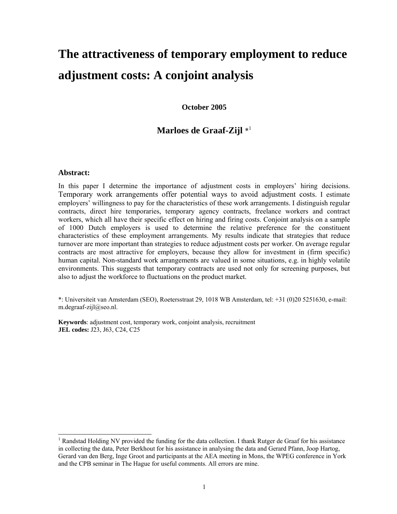# **The attractiveness of temporary employment to reduce adjustment costs: A conjoint analysis**

**October 2005** 

# **Marloes de Graaf-Zijl** \*1

#### **Abstract:**

 $\overline{a}$ 

In this paper I determine the importance of adjustment costs in employers' hiring decisions. Temporary work arrangements offer potential ways to avoid adjustment costs. I estimate employers' willingness to pay for the characteristics of these work arrangements. I distinguish regular contracts, direct hire temporaries, temporary agency contracts, freelance workers and contract workers, which all have their specific effect on hiring and firing costs. Conjoint analysis on a sample of 1000 Dutch employers is used to determine the relative preference for the constituent characteristics of these employment arrangements. My results indicate that strategies that reduce turnover are more important than strategies to reduce adjustment costs per worker. On average regular contracts are most attractive for employers, because they allow for investment in (firm specific) human capital. Non-standard work arrangements are valued in some situations, e.g. in highly volatile environments. This suggests that temporary contracts are used not only for screening purposes, but also to adjust the workforce to fluctuations on the product market.

\*: Universiteit van Amsterdam (SEO), Roetersstraat 29, 1018 WB Amsterdam, tel: +31 (0)20 5251630, e-mail: m.degraaf-zijl@seo.nl.

**Keywords**: adjustment cost, temporary work, conjoint analysis, recruitment **JEL codes:** J23, J63, C24, C25

<sup>&</sup>lt;sup>1</sup> Randstad Holding NV provided the funding for the data collection. I thank Rutger de Graaf for his assistance in collecting the data, Peter Berkhout for his assistance in analysing the data and Gerard Pfann, Joop Hartog, Gerard van den Berg, Inge Groot and participants at the AEA meeting in Mons, the WPEG conference in York and the CPB seminar in The Hague for useful comments. All errors are mine.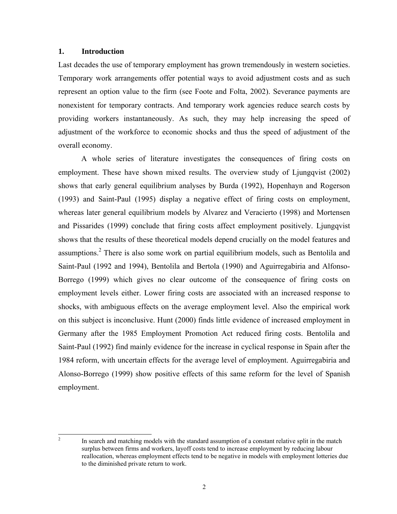## **1. Introduction**

Last decades the use of temporary employment has grown tremendously in western societies. Temporary work arrangements offer potential ways to avoid adjustment costs and as such represent an option value to the firm (see Foote and Folta, 2002). Severance payments are nonexistent for temporary contracts. And temporary work agencies reduce search costs by providing workers instantaneously. As such, they may help increasing the speed of adjustment of the workforce to economic shocks and thus the speed of adjustment of the overall economy.

A whole series of literature investigates the consequences of firing costs on employment. These have shown mixed results. The overview study of Ljungqvist (2002) shows that early general equilibrium analyses by Burda (1992), Hopenhayn and Rogerson (1993) and Saint-Paul (1995) display a negative effect of firing costs on employment, whereas later general equilibrium models by Alvarez and Veracierto (1998) and Mortensen and Pissarides (1999) conclude that firing costs affect employment positively. Ljungqvist shows that the results of these theoretical models depend crucially on the model features and assumptions.<sup>2</sup> There is also some work on partial equilibrium models, such as Bentolila and Saint-Paul (1992 and 1994), Bentolila and Bertola (1990) and Aguirregabiria and Alfonso-Borrego (1999) which gives no clear outcome of the consequence of firing costs on employment levels either. Lower firing costs are associated with an increased response to shocks, with ambiguous effects on the average employment level. Also the empirical work on this subject is inconclusive. Hunt (2000) finds little evidence of increased employment in Germany after the 1985 Employment Promotion Act reduced firing costs. Bentolila and Saint-Paul (1992) find mainly evidence for the increase in cyclical response in Spain after the 1984 reform, with uncertain effects for the average level of employment. Aguirregabiria and Alonso-Borrego (1999) show positive effects of this same reform for the level of Spanish employment.

 $\frac{1}{2}$ 

In search and matching models with the standard assumption of a constant relative split in the match surplus between firms and workers, layoff costs tend to increase employment by reducing labour reallocation, whereas employment effects tend to be negative in models with employment lotteries due to the diminished private return to work.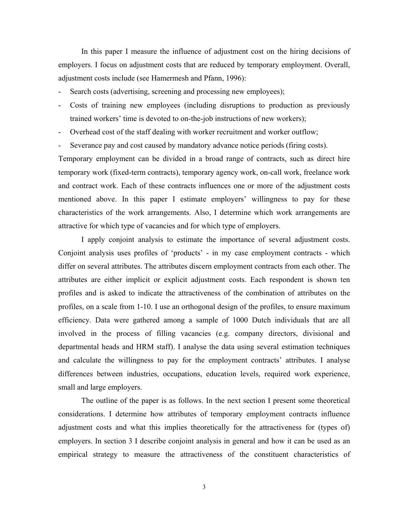In this paper I measure the influence of adjustment cost on the hiring decisions of employers. I focus on adjustment costs that are reduced by temporary employment. Overall, adjustment costs include (see Hamermesh and Pfann, 1996):

- Search costs (advertising, screening and processing new employees);
- Costs of training new employees (including disruptions to production as previously trained workers' time is devoted to on-the-job instructions of new workers);
- Overhead cost of the staff dealing with worker recruitment and worker outflow;
- Severance pay and cost caused by mandatory advance notice periods (firing costs).

Temporary employment can be divided in a broad range of contracts, such as direct hire temporary work (fixed-term contracts), temporary agency work, on-call work, freelance work and contract work. Each of these contracts influences one or more of the adjustment costs mentioned above. In this paper I estimate employers' willingness to pay for these characteristics of the work arrangements. Also, I determine which work arrangements are attractive for which type of vacancies and for which type of employers.

I apply conjoint analysis to estimate the importance of several adjustment costs. Conjoint analysis uses profiles of 'products' - in my case employment contracts - which differ on several attributes. The attributes discern employment contracts from each other. The attributes are either implicit or explicit adjustment costs. Each respondent is shown ten profiles and is asked to indicate the attractiveness of the combination of attributes on the profiles, on a scale from 1-10. I use an orthogonal design of the profiles, to ensure maximum efficiency. Data were gathered among a sample of 1000 Dutch individuals that are all involved in the process of filling vacancies (e.g. company directors, divisional and departmental heads and HRM staff). I analyse the data using several estimation techniques and calculate the willingness to pay for the employment contracts' attributes. I analyse differences between industries, occupations, education levels, required work experience, small and large employers.

The outline of the paper is as follows. In the next section I present some theoretical considerations. I determine how attributes of temporary employment contracts influence adjustment costs and what this implies theoretically for the attractiveness for (types of) employers. In section 3 I describe conjoint analysis in general and how it can be used as an empirical strategy to measure the attractiveness of the constituent characteristics of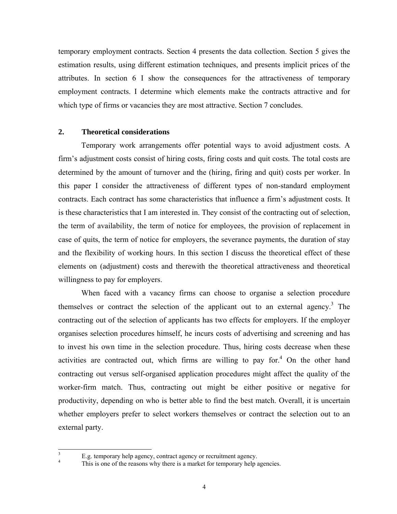temporary employment contracts. Section 4 presents the data collection. Section 5 gives the estimation results, using different estimation techniques, and presents implicit prices of the attributes. In section 6 I show the consequences for the attractiveness of temporary employment contracts. I determine which elements make the contracts attractive and for which type of firms or vacancies they are most attractive. Section 7 concludes.

#### **2. Theoretical considerations**

Temporary work arrangements offer potential ways to avoid adjustment costs. A firm's adjustment costs consist of hiring costs, firing costs and quit costs. The total costs are determined by the amount of turnover and the (hiring, firing and quit) costs per worker. In this paper I consider the attractiveness of different types of non-standard employment contracts. Each contract has some characteristics that influence a firm's adjustment costs. It is these characteristics that I am interested in. They consist of the contracting out of selection, the term of availability, the term of notice for employees, the provision of replacement in case of quits, the term of notice for employers, the severance payments, the duration of stay and the flexibility of working hours. In this section I discuss the theoretical effect of these elements on (adjustment) costs and therewith the theoretical attractiveness and theoretical willingness to pay for employers.

When faced with a vacancy firms can choose to organise a selection procedure themselves or contract the selection of the applicant out to an external agency.<sup>3</sup> The contracting out of the selection of applicants has two effects for employers. If the employer organises selection procedures himself, he incurs costs of advertising and screening and has to invest his own time in the selection procedure. Thus, hiring costs decrease when these activities are contracted out, which firms are willing to pay for.<sup>4</sup> On the other hand contracting out versus self-organised application procedures might affect the quality of the worker-firm match. Thus, contracting out might be either positive or negative for productivity, depending on who is better able to find the best match. Overall, it is uncertain whether employers prefer to select workers themselves or contract the selection out to an external party.

 3 E.g. temporary help agency, contract agency or recruitment agency. 4

This is one of the reasons why there is a market for temporary help agencies.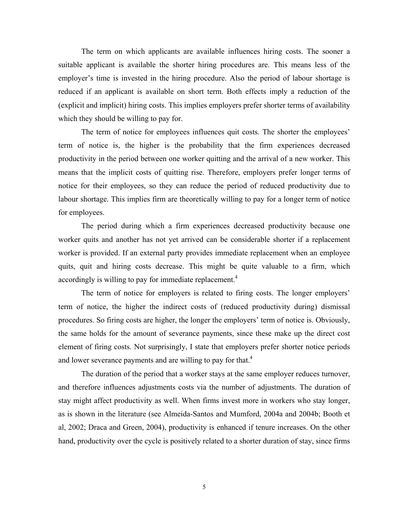The term on which applicants are available influences hiring costs. The sooner a suitable applicant is available the shorter hiring procedures are. This means less of the employer's time is invested in the hiring procedure. Also the period of labour shortage is reduced if an applicant is available on short term. Both effects imply a reduction of the (explicit and implicit) hiring costs. This implies employers prefer shorter terms of availability which they should be willing to pay for.

The term of notice for employees influences quit costs. The shorter the employees' term of notice is, the higher is the probability that the firm experiences decreased productivity in the period between one worker quitting and the arrival of a new worker. This means that the implicit costs of quitting rise. Therefore, employers prefer longer terms of notice for their employees, so they can reduce the period of reduced productivity due to labour shortage. This implies firm are theoretically willing to pay for a longer term of notice for employees.

The period during which a firm experiences decreased productivity because one worker quits and another has not yet arrived can be considerable shorter if a replacement worker is provided. If an external party provides immediate replacement when an employee quits, quit and hiring costs decrease. This might be quite valuable to a firm, which accordingly is willing to pay for immediate replacement.<sup>4</sup>

The term of notice for employers is related to firing costs. The longer employers' term of notice, the higher the indirect costs of (reduced productivity during) dismissal procedures. So firing costs are higher, the longer the employers' term of notice is. Obviously, the same holds for the amount of severance payments, since these make up the direct cost element of firing costs. Not surprisingly, I state that employers prefer shorter notice periods and lower severance payments and are willing to pay for that.<sup>4</sup>

The duration of the period that a worker stays at the same employer reduces turnover, and therefore influences adjustments costs via the number of adjustments. The duration of stay might affect productivity as well. When firms invest more in workers who stay longer, as is shown in the literature (see Almeida-Santos and Mumford, 2004a and 2004b; Booth et al, 2002; Draca and Green, 2004), productivity is enhanced if tenure increases. On the other hand, productivity over the cycle is positively related to a shorter duration of stay, since firms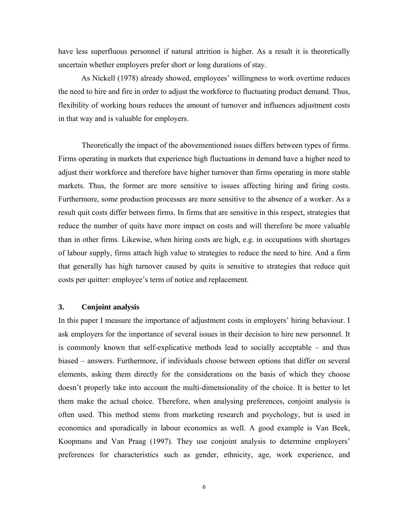have less superfluous personnel if natural attrition is higher. As a result it is theoretically uncertain whether employers prefer short or long durations of stay.

As Nickell (1978) already showed, employees' willingness to work overtime reduces the need to hire and fire in order to adjust the workforce to fluctuating product demand. Thus, flexibility of working hours reduces the amount of turnover and influences adjustment costs in that way and is valuable for employers.

Theoretically the impact of the abovementioned issues differs between types of firms. Firms operating in markets that experience high fluctuations in demand have a higher need to adjust their workforce and therefore have higher turnover than firms operating in more stable markets. Thus, the former are more sensitive to issues affecting hiring and firing costs. Furthermore, some production processes are more sensitive to the absence of a worker. As a result quit costs differ between firms. In firms that are sensitive in this respect, strategies that reduce the number of quits have more impact on costs and will therefore be more valuable than in other firms. Likewise, when hiring costs are high, e.g. in occupations with shortages of labour supply, firms attach high value to strategies to reduce the need to hire. And a firm that generally has high turnover caused by quits is sensitive to strategies that reduce quit costs per quitter: employee's term of notice and replacement.

## **3. Conjoint analysis**

In this paper I measure the importance of adjustment costs in employers' hiring behaviour. I ask employers for the importance of several issues in their decision to hire new personnel. It is commonly known that self-explicative methods lead to socially acceptable – and thus biased – answers. Furthermore, if individuals choose between options that differ on several elements, asking them directly for the considerations on the basis of which they choose doesn't properly take into account the multi-dimensionality of the choice. It is better to let them make the actual choice. Therefore, when analysing preferences, conjoint analysis is often used. This method stems from marketing research and psychology, but is used in economics and sporadically in labour economics as well. A good example is Van Beek, Koopmans and Van Praag (1997). They use conjoint analysis to determine employers' preferences for characteristics such as gender, ethnicity, age, work experience, and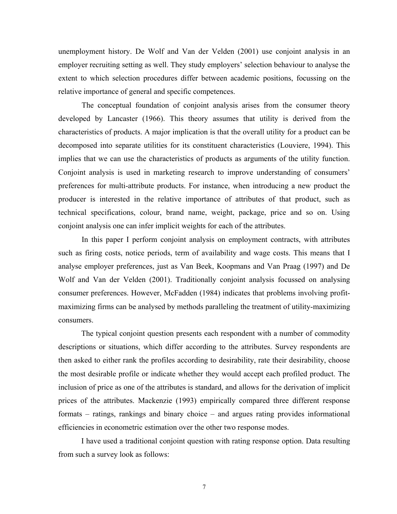unemployment history. De Wolf and Van der Velden (2001) use conjoint analysis in an employer recruiting setting as well. They study employers' selection behaviour to analyse the extent to which selection procedures differ between academic positions, focussing on the relative importance of general and specific competences.

The conceptual foundation of conjoint analysis arises from the consumer theory developed by Lancaster (1966). This theory assumes that utility is derived from the characteristics of products. A major implication is that the overall utility for a product can be decomposed into separate utilities for its constituent characteristics (Louviere, 1994). This implies that we can use the characteristics of products as arguments of the utility function. Conjoint analysis is used in marketing research to improve understanding of consumers' preferences for multi-attribute products. For instance, when introducing a new product the producer is interested in the relative importance of attributes of that product, such as technical specifications, colour, brand name, weight, package, price and so on. Using conjoint analysis one can infer implicit weights for each of the attributes.

In this paper I perform conjoint analysis on employment contracts, with attributes such as firing costs, notice periods, term of availability and wage costs. This means that I analyse employer preferences, just as Van Beek, Koopmans and Van Praag (1997) and De Wolf and Van der Velden (2001). Traditionally conjoint analysis focussed on analysing consumer preferences. However, McFadden (1984) indicates that problems involving profitmaximizing firms can be analysed by methods paralleling the treatment of utility-maximizing consumers.

The typical conjoint question presents each respondent with a number of commodity descriptions or situations, which differ according to the attributes. Survey respondents are then asked to either rank the profiles according to desirability, rate their desirability, choose the most desirable profile or indicate whether they would accept each profiled product. The inclusion of price as one of the attributes is standard, and allows for the derivation of implicit prices of the attributes. Mackenzie (1993) empirically compared three different response formats – ratings, rankings and binary choice – and argues rating provides informational efficiencies in econometric estimation over the other two response modes.

I have used a traditional conjoint question with rating response option. Data resulting from such a survey look as follows: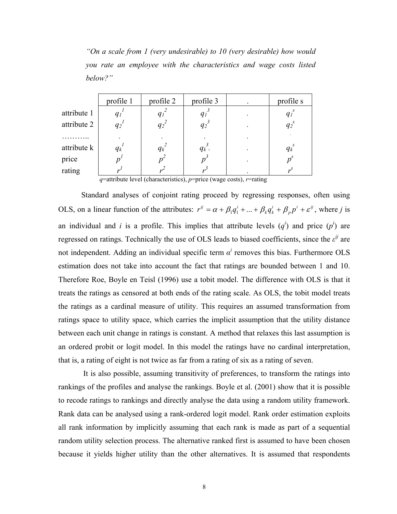*"On a scale from 1 (very undesirable) to 10 (very desirable) how would you rate an employee with the characteristics and wage costs listed below?"* 

| profile 1                            | profile 2          | profile 3          | profile s                           |
|--------------------------------------|--------------------|--------------------|-------------------------------------|
| $q_l$                                |                    | $q_l$              | $q_i$                               |
| $q_2$ <sup><math>\prime</math></sup> | $q_2$ <sup>2</sup> | $q_2$ <sup>3</sup> | $q_2^s$                             |
|                                      |                    |                    |                                     |
| $q_k$                                | $q_k$              | $q_k$ .            | $q_k^s$                             |
|                                      | 'n                 |                    | $p^s$                               |
|                                      |                    |                    |                                     |
|                                      |                    |                    | andre Gallery and the Communication |

 *q*=attribute level (characteristics), *p*=price (wage costs), *r*=rating

Standard analyses of conjoint rating proceed by regressing responses, often using OLS, on a linear function of the attributes:  $r^{ij} = \alpha + \beta_1 q_1^i + ... + \beta_k q_k^i + \beta_p p^i + \varepsilon^{ij}$ *i*  $r^{ij} = \alpha + \beta_1 q_1^i + ... + \beta_k q_k^i + \beta_p p^i + \varepsilon^{ij}$ , where *j* is an individual and *i* is a profile. This implies that attribute levels  $(q^i)$  and price  $(p^i)$  are regressed on ratings. Technically the use of OLS leads to biased coefficients, since the *ε ij* are not independent. Adding an individual specific term  $\alpha^i$  removes this bias. Furthermore OLS estimation does not take into account the fact that ratings are bounded between 1 and 10. Therefore Roe, Boyle en Teisl (1996) use a tobit model. The difference with OLS is that it treats the ratings as censored at both ends of the rating scale. As OLS, the tobit model treats the ratings as a cardinal measure of utility. This requires an assumed transformation from ratings space to utility space, which carries the implicit assumption that the utility distance between each unit change in ratings is constant. A method that relaxes this last assumption is an ordered probit or logit model. In this model the ratings have no cardinal interpretation, that is, a rating of eight is not twice as far from a rating of six as a rating of seven.

 It is also possible, assuming transitivity of preferences, to transform the ratings into rankings of the profiles and analyse the rankings. Boyle et al. (2001) show that it is possible to recode ratings to rankings and directly analyse the data using a random utility framework. Rank data can be analysed using a rank-ordered logit model. Rank order estimation exploits all rank information by implicitly assuming that each rank is made as part of a sequential random utility selection process. The alternative ranked first is assumed to have been chosen because it yields higher utility than the other alternatives. It is assumed that respondents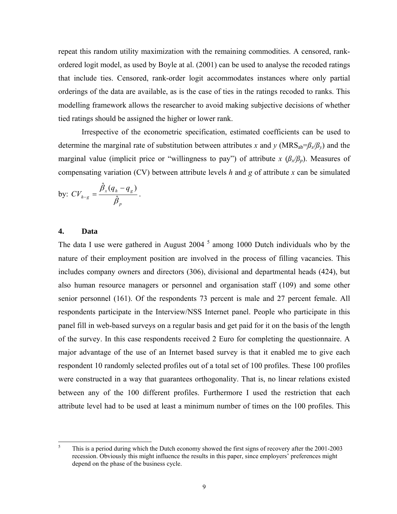repeat this random utility maximization with the remaining commodities. A censored, rankordered logit model, as used by Boyle at al. (2001) can be used to analyse the recoded ratings that include ties. Censored, rank-order logit accommodates instances where only partial orderings of the data are available, as is the case of ties in the ratings recoded to ranks. This modelling framework allows the researcher to avoid making subjective decisions of whether tied ratings should be assigned the higher or lower rank.

Irrespective of the econometric specification, estimated coefficients can be used to determine the marginal rate of substitution between attributes *x* and *y* (MRS<sub>ab</sub>= $\beta_x/\beta_y$ ) and the marginal value (implicit price or "willingness to pay") of attribute  $x \left( \beta_x / \beta_p \right)$ . Measures of compensating variation (CV) between attribute levels *h* and *g* of attribute *x* can be simulated

by: 
$$
CV_{h-g} = \frac{\hat{\beta}_x(q_h - q_g)}{\hat{\beta}_p}.
$$

#### **4. Data**

The data I use were gathered in August  $2004<sup>5</sup>$  among 1000 Dutch individuals who by the nature of their employment position are involved in the process of filling vacancies. This includes company owners and directors (306), divisional and departmental heads (424), but also human resource managers or personnel and organisation staff (109) and some other senior personnel (161). Of the respondents 73 percent is male and 27 percent female. All respondents participate in the Interview/NSS Internet panel. People who participate in this panel fill in web-based surveys on a regular basis and get paid for it on the basis of the length of the survey. In this case respondents received 2 Euro for completing the questionnaire. A major advantage of the use of an Internet based survey is that it enabled me to give each respondent 10 randomly selected profiles out of a total set of 100 profiles. These 100 profiles were constructed in a way that guarantees orthogonality. That is, no linear relations existed between any of the 100 different profiles. Furthermore I used the restriction that each attribute level had to be used at least a minimum number of times on the 100 profiles. This

 5 This is a period during which the Dutch economy showed the first signs of recovery after the 2001-2003 recession. Obviously this might influence the results in this paper, since employers' preferences might depend on the phase of the business cycle.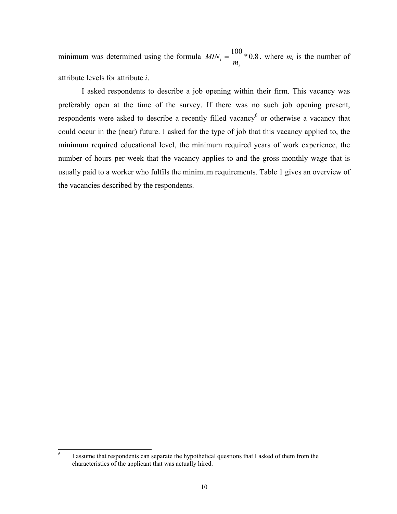minimum was determined using the formula  $MIN_i = \frac{100}{100} *0.8$ *i i m*  $MIN_i = \frac{100}{100} * 0.8$ , where  $m_i$  is the number of attribute levels for attribute *i*.

 I asked respondents to describe a job opening within their firm. This vacancy was preferably open at the time of the survey. If there was no such job opening present, respondents were asked to describe a recently filled vacancy<sup>6</sup> or otherwise a vacancy that could occur in the (near) future. I asked for the type of job that this vacancy applied to, the minimum required educational level, the minimum required years of work experience, the number of hours per week that the vacancy applies to and the gross monthly wage that is usually paid to a worker who fulfils the minimum requirements. Table 1 gives an overview of the vacancies described by the respondents.

 6 I assume that respondents can separate the hypothetical questions that I asked of them from the characteristics of the applicant that was actually hired.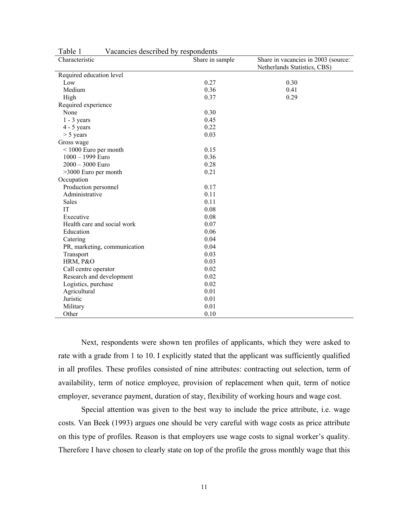| Characteristic               | Share in sample | Share in vacancies in 2003 (source: |
|------------------------------|-----------------|-------------------------------------|
|                              |                 | Netherlands Statistics, CBS)        |
| Required education level     |                 |                                     |
| Low                          | 0.27            | 0.30                                |
| Medium                       | 0.36            | 0.41                                |
| High                         | 0.37            | 0.29                                |
| Required experience          |                 |                                     |
| None                         | 0.30            |                                     |
| $1 - 3$ years                | 0.45            |                                     |
| $4 - 5$ years                | 0.22            |                                     |
| $> 5$ years                  | 0.03            |                                     |
| Gross wage                   |                 |                                     |
| $<$ 1000 Euro per month      | 0.15            |                                     |
| 1000 - 1999 Euro             | 0.36            |                                     |
| $2000 - 3000$ Euro           | 0.28            |                                     |
| $>3000$ Euro per month       | 0.21            |                                     |
| Occupation                   |                 |                                     |
| Production personnel         | 0.17            |                                     |
| Administrative               | 0.11            |                                     |
| Sales                        | 0.11            |                                     |
| IT                           | 0.08            |                                     |
| Executive                    | 0.08            |                                     |
| Health care and social work  | 0.07            |                                     |
| Education                    | 0.06            |                                     |
| Catering                     | 0.04            |                                     |
| PR, marketing, communication | 0.04            |                                     |
| Transport                    | 0.03            |                                     |
| HRM, P&O                     | 0.03            |                                     |
| Call centre operator         | 0.02            |                                     |
| Research and development     | 0.02            |                                     |
| Logistics, purchase          | 0.02            |                                     |
| Agricultural                 | 0.01            |                                     |
| Juristic                     | 0.01            |                                     |
| Military                     | 0.01            |                                     |
| Other                        | 0.10            |                                     |

Table 1 Vacancies described by respondents

Next, respondents were shown ten profiles of applicants, which they were asked to rate with a grade from 1 to 10. I explicitly stated that the applicant was sufficiently qualified in all profiles. These profiles consisted of nine attributes: contracting out selection, term of availability, term of notice employee, provision of replacement when quit, term of notice employer, severance payment, duration of stay, flexibility of working hours and wage cost.

Special attention was given to the best way to include the price attribute, i.e. wage costs. Van Beek (1993) argues one should be very careful with wage costs as price attribute on this type of profiles. Reason is that employers use wage costs to signal worker's quality. Therefore I have chosen to clearly state on top of the profile the gross monthly wage that this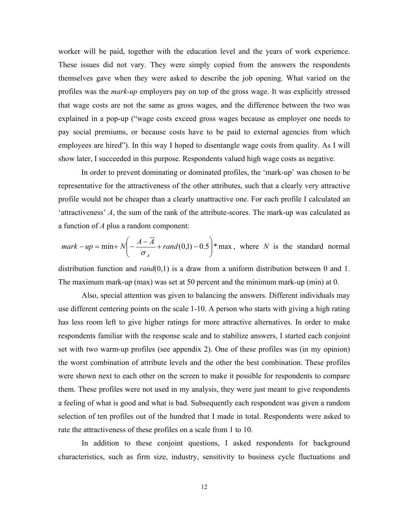worker will be paid, together with the education level and the years of work experience. These issues did not vary. They were simply copied from the answers the respondents themselves gave when they were asked to describe the job opening. What varied on the profiles was the *mark-up* employers pay on top of the gross wage. It was explicitly stressed that wage costs are not the same as gross wages, and the difference between the two was explained in a pop-up ("wage costs exceed gross wages because as employer one needs to pay social premiums, or because costs have to be paid to external agencies from which employees are hired"). In this way I hoped to disentangle wage costs from quality. As I will show later, I succeeded in this purpose. Respondents valued high wage costs as negative.

In order to prevent dominating or dominated profiles, the 'mark-up' was chosen to be representative for the attractiveness of the other attributes, such that a clearly very attractive profile would not be cheaper than a clearly unattractive one. For each profile I calculated an 'attractiveness' *A*, the sum of the rank of the attribute-scores. The mark-up was calculated as a function of *A* plus a random component:

$$
mark - up = min + N \left( -\frac{A - \overline{A}}{\sigma_A} + rand(0,1) - 0.5 \right) * max, where N is the standard normal
$$

distribution function and *rand*(0,1) is a draw from a uniform distribution between 0 and 1. The maximum mark-up (max) was set at 50 percent and the minimum mark-up (min) at 0.

Also, special attention was given to balancing the answers. Different individuals may use different centering points on the scale 1-10. A person who starts with giving a high rating has less room left to give higher ratings for more attractive alternatives. In order to make respondents familiar with the response scale and to stabilize answers, I started each conjoint set with two warm-up profiles (see appendix 2). One of these profiles was (in my opinion) the worst combination of attribute levels and the other the best combination. These profiles were shown next to each other on the screen to make it possible for respondents to compare them. These profiles were not used in my analysis, they were just meant to give respondents a feeling of what is good and what is bad. Subsequently each respondent was given a random selection of ten profiles out of the hundred that I made in total. Respondents were asked to rate the attractiveness of these profiles on a scale from 1 to 10.

In addition to these conjoint questions, I asked respondents for background characteristics, such as firm size, industry, sensitivity to business cycle fluctuations and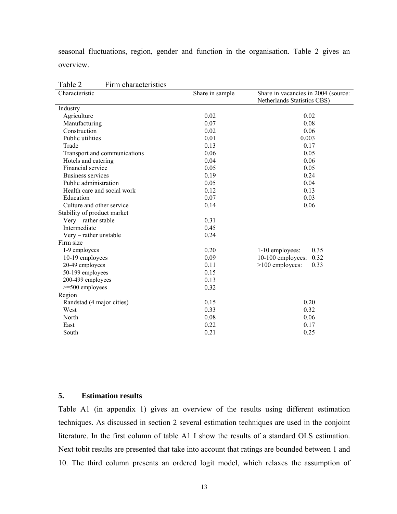seasonal fluctuations, region, gender and function in the organisation. Table 2 gives an overview.

| $1 \text{ and } 2$<br>T IIIII UHATAUUTISHUS<br>Characteristic | Share in sample | Share in vacancies in 2004 (source: |
|---------------------------------------------------------------|-----------------|-------------------------------------|
|                                                               |                 | Netherlands Statistics CBS)         |
| Industry                                                      |                 |                                     |
| Agriculture                                                   | 0.02            | 0.02                                |
| Manufacturing                                                 | 0.07            | 0.08                                |
| Construction                                                  | 0.02            | 0.06                                |
| Public utilities                                              | 0.01            | 0.003                               |
| Trade                                                         | 0.13            | 0.17                                |
| Transport and communications                                  | 0.06            | 0.05                                |
| Hotels and catering                                           | 0.04            | 0.06                                |
| Financial service                                             | 0.05            | 0.05                                |
| Business services                                             | 0.19            | 0.24                                |
| Public administration                                         | 0.05            | 0.04                                |
| Health care and social work                                   | 0.12            | 0.13                                |
| Education                                                     | 0.07            | 0.03                                |
| Culture and other service                                     | 0.14            | 0.06                                |
| Stability of product market                                   |                 |                                     |
| $V$ ery – rather stable                                       | 0.31            |                                     |
| Intermediate                                                  | 0.45            |                                     |
| Very – rather unstable                                        | 0.24            |                                     |
| Firm size                                                     |                 |                                     |
| 1-9 employees                                                 | 0.20            | 1-10 employees:<br>0.35             |
| 10-19 employees                                               | 0.09            | 10-100 employees:<br>0.32           |
| 20-49 employees                                               | 0.11            | $>100$ employees:<br>0.33           |
| 50-199 employees                                              | 0.15            |                                     |
| 200-499 employees                                             | 0.13            |                                     |
| $>=$ 500 employees                                            | 0.32            |                                     |
| Region                                                        |                 |                                     |
| Randstad (4 major cities)                                     | 0.15            | 0.20                                |
| West                                                          | 0.33            | 0.32                                |
| North                                                         | 0.08            | 0.06                                |
| East                                                          | 0.22            | 0.17                                |
| South                                                         | 0.21            | 0.25                                |

Table 2 Firm characteristics

## **5. Estimation results**

Table A1 (in appendix 1) gives an overview of the results using different estimation techniques. As discussed in section 2 several estimation techniques are used in the conjoint literature. In the first column of table A1 I show the results of a standard OLS estimation. Next tobit results are presented that take into account that ratings are bounded between 1 and 10. The third column presents an ordered logit model, which relaxes the assumption of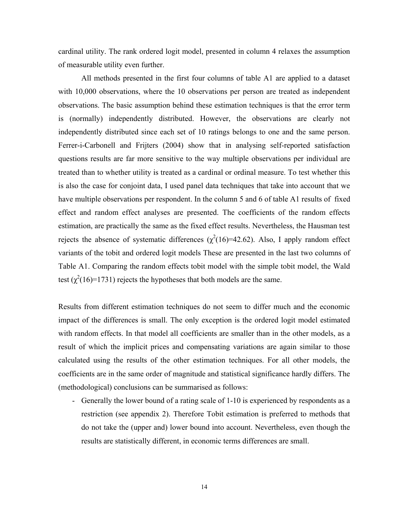cardinal utility. The rank ordered logit model, presented in column 4 relaxes the assumption of measurable utility even further.

All methods presented in the first four columns of table A1 are applied to a dataset with 10,000 observations, where the 10 observations per person are treated as independent observations. The basic assumption behind these estimation techniques is that the error term is (normally) independently distributed. However, the observations are clearly not independently distributed since each set of 10 ratings belongs to one and the same person. Ferrer-i-Carbonell and Frijters (2004) show that in analysing self-reported satisfaction questions results are far more sensitive to the way multiple observations per individual are treated than to whether utility is treated as a cardinal or ordinal measure. To test whether this is also the case for conjoint data, I used panel data techniques that take into account that we have multiple observations per respondent. In the column 5 and 6 of table A1 results of fixed effect and random effect analyses are presented. The coefficients of the random effects estimation, are practically the same as the fixed effect results. Nevertheless, the Hausman test rejects the absence of systematic differences  $(\chi^2(16)=42.62)$ . Also, I apply random effect variants of the tobit and ordered logit models These are presented in the last two columns of Table A1. Comparing the random effects tobit model with the simple tobit model, the Wald test ( $\chi^2(16)=1731$ ) rejects the hypotheses that both models are the same.

Results from different estimation techniques do not seem to differ much and the economic impact of the differences is small. The only exception is the ordered logit model estimated with random effects. In that model all coefficients are smaller than in the other models, as a result of which the implicit prices and compensating variations are again similar to those calculated using the results of the other estimation techniques. For all other models, the coefficients are in the same order of magnitude and statistical significance hardly differs. The (methodological) conclusions can be summarised as follows:

- Generally the lower bound of a rating scale of 1-10 is experienced by respondents as a restriction (see appendix 2). Therefore Tobit estimation is preferred to methods that do not take the (upper and) lower bound into account. Nevertheless, even though the results are statistically different, in economic terms differences are small.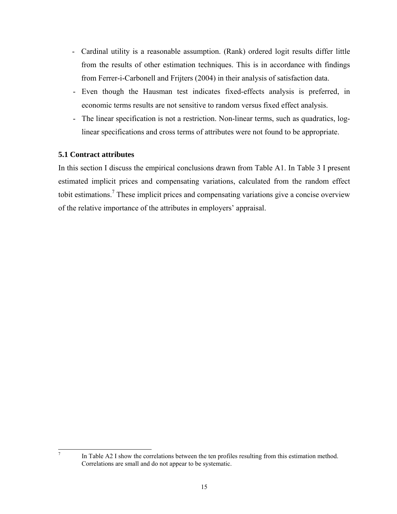- Cardinal utility is a reasonable assumption. (Rank) ordered logit results differ little from the results of other estimation techniques. This is in accordance with findings from Ferrer-i-Carbonell and Frijters (2004) in their analysis of satisfaction data.
- Even though the Hausman test indicates fixed-effects analysis is preferred, in economic terms results are not sensitive to random versus fixed effect analysis.
- The linear specification is not a restriction. Non-linear terms, such as quadratics, loglinear specifications and cross terms of attributes were not found to be appropriate.

## **5.1 Contract attributes**

7

In this section I discuss the empirical conclusions drawn from Table A1. In Table 3 I present estimated implicit prices and compensating variations, calculated from the random effect tobit estimations.<sup>7</sup> These implicit prices and compensating variations give a concise overview of the relative importance of the attributes in employers' appraisal.

In Table A2 I show the correlations between the ten profiles resulting from this estimation method. Correlations are small and do not appear to be systematic.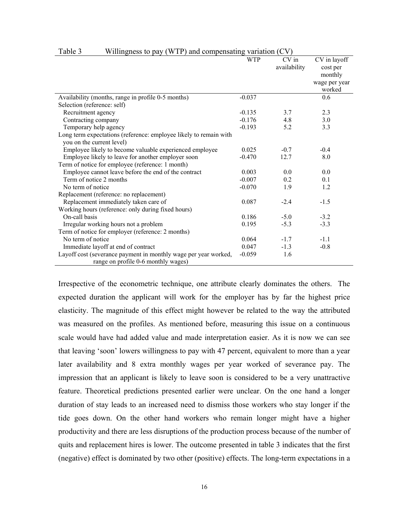|                                                                                                | <b>WTP</b> | CV in<br>availability | CV in layoff<br>cost per<br>monthly<br>wage per year |
|------------------------------------------------------------------------------------------------|------------|-----------------------|------------------------------------------------------|
|                                                                                                | $-0.037$   |                       | worked<br>0.6                                        |
| Availability (months, range in profile 0-5 months)                                             |            |                       |                                                      |
| Selection (reference: self)                                                                    |            |                       |                                                      |
| Recruitment agency                                                                             | $-0.135$   | 3.7                   | 2.3                                                  |
| Contracting company                                                                            | $-0.176$   | 4.8                   | 3.0                                                  |
| Temporary help agency                                                                          | $-0.193$   | 5.2                   | 3.3                                                  |
| Long term expectations (reference: employee likely to remain with<br>you on the current level) |            |                       |                                                      |
| Employee likely to become valuable experienced employee                                        | 0.025      | $-0.7$                | $-0.4$                                               |
| Employee likely to leave for another employer soon                                             | $-0.470$   | 12.7                  | 8.0                                                  |
| Term of notice for employee (reference: 1 month)                                               |            |                       |                                                      |
| Employee cannot leave before the end of the contract                                           | 0.003      | 0.0                   | 0.0                                                  |
|                                                                                                |            |                       |                                                      |
| Term of notice 2 months                                                                        | $-0.007$   | 0.2                   | 0.1                                                  |
| No term of notice                                                                              | $-0.070$   | 1.9                   | 1.2                                                  |
| Replacement (reference: no replacement)                                                        |            |                       |                                                      |
| Replacement immediately taken care of                                                          | 0.087      | $-2.4$                | $-1.5$                                               |
| Working hours (reference: only during fixed hours)                                             |            |                       |                                                      |
| On-call basis                                                                                  | 0.186      | $-5.0$                | $-3.2$                                               |
| Irregular working hours not a problem                                                          | 0.195      | $-5.3$                | $-3.3$                                               |
| Term of notice for employer (reference: 2 months)                                              |            |                       |                                                      |
| No term of notice                                                                              | 0.064      | $-1.7$                | $-1.1$                                               |
| Immediate layoff at end of contract                                                            | 0.047      | $-1.3$                | $-0.8$                                               |
| Layoff cost (severance payment in monthly wage per year worked,                                | $-0.059$   | 1.6                   |                                                      |
| range on profile 0-6 monthly wages)                                                            |            |                       |                                                      |

#### Table 3 Willingness to pay (WTP) and compensating variation (CV)

Irrespective of the econometric technique, one attribute clearly dominates the others. The expected duration the applicant will work for the employer has by far the highest price elasticity. The magnitude of this effect might however be related to the way the attributed was measured on the profiles. As mentioned before, measuring this issue on a continuous scale would have had added value and made interpretation easier. As it is now we can see that leaving 'soon' lowers willingness to pay with 47 percent, equivalent to more than a year later availability and 8 extra monthly wages per year worked of severance pay. The impression that an applicant is likely to leave soon is considered to be a very unattractive feature. Theoretical predictions presented earlier were unclear. On the one hand a longer duration of stay leads to an increased need to dismiss those workers who stay longer if the tide goes down. On the other hand workers who remain longer might have a higher productivity and there are less disruptions of the production process because of the number of quits and replacement hires is lower. The outcome presented in table 3 indicates that the first (negative) effect is dominated by two other (positive) effects. The long-term expectations in a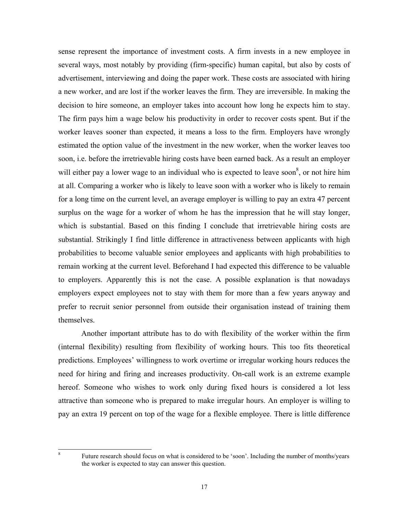sense represent the importance of investment costs. A firm invests in a new employee in several ways, most notably by providing (firm-specific) human capital, but also by costs of advertisement, interviewing and doing the paper work. These costs are associated with hiring a new worker, and are lost if the worker leaves the firm. They are irreversible. In making the decision to hire someone, an employer takes into account how long he expects him to stay. The firm pays him a wage below his productivity in order to recover costs spent. But if the worker leaves sooner than expected, it means a loss to the firm. Employers have wrongly estimated the option value of the investment in the new worker, when the worker leaves too soon, i.e. before the irretrievable hiring costs have been earned back. As a result an employer will either pay a lower wage to an individual who is expected to leave soon<sup>8</sup>, or not hire him at all. Comparing a worker who is likely to leave soon with a worker who is likely to remain for a long time on the current level, an average employer is willing to pay an extra 47 percent surplus on the wage for a worker of whom he has the impression that he will stay longer, which is substantial. Based on this finding I conclude that irretrievable hiring costs are substantial. Strikingly I find little difference in attractiveness between applicants with high probabilities to become valuable senior employees and applicants with high probabilities to remain working at the current level. Beforehand I had expected this difference to be valuable to employers. Apparently this is not the case. A possible explanation is that nowadays employers expect employees not to stay with them for more than a few years anyway and prefer to recruit senior personnel from outside their organisation instead of training them themselves.

Another important attribute has to do with flexibility of the worker within the firm (internal flexibility) resulting from flexibility of working hours. This too fits theoretical predictions. Employees' willingness to work overtime or irregular working hours reduces the need for hiring and firing and increases productivity. On-call work is an extreme example hereof. Someone who wishes to work only during fixed hours is considered a lot less attractive than someone who is prepared to make irregular hours. An employer is willing to pay an extra 19 percent on top of the wage for a flexible employee. There is little difference

8

Future research should focus on what is considered to be 'soon'. Including the number of months/years the worker is expected to stay can answer this question.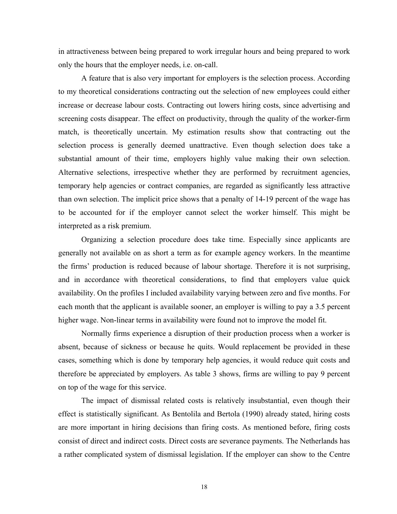in attractiveness between being prepared to work irregular hours and being prepared to work only the hours that the employer needs, i.e. on-call.

A feature that is also very important for employers is the selection process. According to my theoretical considerations contracting out the selection of new employees could either increase or decrease labour costs. Contracting out lowers hiring costs, since advertising and screening costs disappear. The effect on productivity, through the quality of the worker-firm match, is theoretically uncertain. My estimation results show that contracting out the selection process is generally deemed unattractive. Even though selection does take a substantial amount of their time, employers highly value making their own selection. Alternative selections, irrespective whether they are performed by recruitment agencies, temporary help agencies or contract companies, are regarded as significantly less attractive than own selection. The implicit price shows that a penalty of 14-19 percent of the wage has to be accounted for if the employer cannot select the worker himself. This might be interpreted as a risk premium.

Organizing a selection procedure does take time. Especially since applicants are generally not available on as short a term as for example agency workers. In the meantime the firms' production is reduced because of labour shortage. Therefore it is not surprising, and in accordance with theoretical considerations, to find that employers value quick availability. On the profiles I included availability varying between zero and five months. For each month that the applicant is available sooner, an employer is willing to pay a 3.5 percent higher wage. Non-linear terms in availability were found not to improve the model fit.

Normally firms experience a disruption of their production process when a worker is absent, because of sickness or because he quits. Would replacement be provided in these cases, something which is done by temporary help agencies, it would reduce quit costs and therefore be appreciated by employers. As table 3 shows, firms are willing to pay 9 percent on top of the wage for this service.

The impact of dismissal related costs is relatively insubstantial, even though their effect is statistically significant. As Bentolila and Bertola (1990) already stated, hiring costs are more important in hiring decisions than firing costs. As mentioned before, firing costs consist of direct and indirect costs. Direct costs are severance payments. The Netherlands has a rather complicated system of dismissal legislation. If the employer can show to the Centre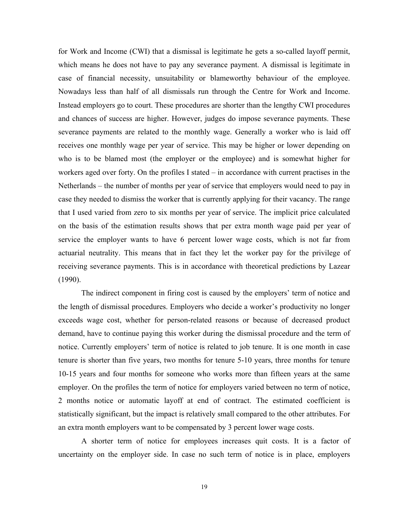for Work and Income (CWI) that a dismissal is legitimate he gets a so-called layoff permit, which means he does not have to pay any severance payment. A dismissal is legitimate in case of financial necessity, unsuitability or blameworthy behaviour of the employee. Nowadays less than half of all dismissals run through the Centre for Work and Income. Instead employers go to court. These procedures are shorter than the lengthy CWI procedures and chances of success are higher. However, judges do impose severance payments. These severance payments are related to the monthly wage. Generally a worker who is laid off receives one monthly wage per year of service. This may be higher or lower depending on who is to be blamed most (the employer or the employee) and is somewhat higher for workers aged over forty. On the profiles I stated – in accordance with current practises in the Netherlands – the number of months per year of service that employers would need to pay in case they needed to dismiss the worker that is currently applying for their vacancy. The range that I used varied from zero to six months per year of service. The implicit price calculated on the basis of the estimation results shows that per extra month wage paid per year of service the employer wants to have 6 percent lower wage costs, which is not far from actuarial neutrality. This means that in fact they let the worker pay for the privilege of receiving severance payments. This is in accordance with theoretical predictions by Lazear (1990).

The indirect component in firing cost is caused by the employers' term of notice and the length of dismissal procedures. Employers who decide a worker's productivity no longer exceeds wage cost, whether for person-related reasons or because of decreased product demand, have to continue paying this worker during the dismissal procedure and the term of notice. Currently employers' term of notice is related to job tenure. It is one month in case tenure is shorter than five years, two months for tenure 5-10 years, three months for tenure 10-15 years and four months for someone who works more than fifteen years at the same employer. On the profiles the term of notice for employers varied between no term of notice, 2 months notice or automatic layoff at end of contract. The estimated coefficient is statistically significant, but the impact is relatively small compared to the other attributes. For an extra month employers want to be compensated by 3 percent lower wage costs.

A shorter term of notice for employees increases quit costs. It is a factor of uncertainty on the employer side. In case no such term of notice is in place, employers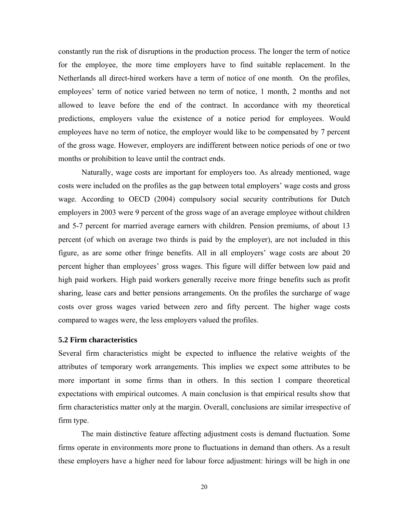constantly run the risk of disruptions in the production process. The longer the term of notice for the employee, the more time employers have to find suitable replacement. In the Netherlands all direct-hired workers have a term of notice of one month. On the profiles, employees' term of notice varied between no term of notice, 1 month, 2 months and not allowed to leave before the end of the contract. In accordance with my theoretical predictions, employers value the existence of a notice period for employees. Would employees have no term of notice, the employer would like to be compensated by 7 percent of the gross wage. However, employers are indifferent between notice periods of one or two months or prohibition to leave until the contract ends.

Naturally, wage costs are important for employers too. As already mentioned, wage costs were included on the profiles as the gap between total employers' wage costs and gross wage. According to OECD (2004) compulsory social security contributions for Dutch employers in 2003 were 9 percent of the gross wage of an average employee without children and 5-7 percent for married average earners with children. Pension premiums, of about 13 percent (of which on average two thirds is paid by the employer), are not included in this figure, as are some other fringe benefits. All in all employers' wage costs are about 20 percent higher than employees' gross wages. This figure will differ between low paid and high paid workers. High paid workers generally receive more fringe benefits such as profit sharing, lease cars and better pensions arrangements. On the profiles the surcharge of wage costs over gross wages varied between zero and fifty percent. The higher wage costs compared to wages were, the less employers valued the profiles.

#### **5.2 Firm characteristics**

Several firm characteristics might be expected to influence the relative weights of the attributes of temporary work arrangements. This implies we expect some attributes to be more important in some firms than in others. In this section I compare theoretical expectations with empirical outcomes. A main conclusion is that empirical results show that firm characteristics matter only at the margin. Overall, conclusions are similar irrespective of firm type.

The main distinctive feature affecting adjustment costs is demand fluctuation. Some firms operate in environments more prone to fluctuations in demand than others. As a result these employers have a higher need for labour force adjustment: hirings will be high in one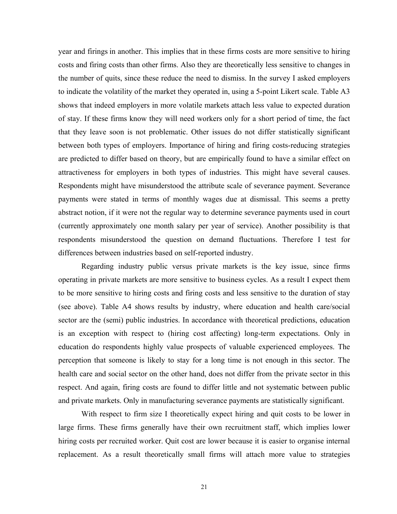year and firings in another. This implies that in these firms costs are more sensitive to hiring costs and firing costs than other firms. Also they are theoretically less sensitive to changes in the number of quits, since these reduce the need to dismiss. In the survey I asked employers to indicate the volatility of the market they operated in, using a 5-point Likert scale. Table A3 shows that indeed employers in more volatile markets attach less value to expected duration of stay. If these firms know they will need workers only for a short period of time, the fact that they leave soon is not problematic. Other issues do not differ statistically significant between both types of employers. Importance of hiring and firing costs-reducing strategies are predicted to differ based on theory, but are empirically found to have a similar effect on attractiveness for employers in both types of industries. This might have several causes. Respondents might have misunderstood the attribute scale of severance payment. Severance payments were stated in terms of monthly wages due at dismissal. This seems a pretty abstract notion, if it were not the regular way to determine severance payments used in court (currently approximately one month salary per year of service). Another possibility is that respondents misunderstood the question on demand fluctuations. Therefore I test for differences between industries based on self-reported industry.

Regarding industry public versus private markets is the key issue, since firms operating in private markets are more sensitive to business cycles. As a result I expect them to be more sensitive to hiring costs and firing costs and less sensitive to the duration of stay (see above). Table A4 shows results by industry, where education and health care/social sector are the (semi) public industries. In accordance with theoretical predictions, education is an exception with respect to (hiring cost affecting) long-term expectations. Only in education do respondents highly value prospects of valuable experienced employees. The perception that someone is likely to stay for a long time is not enough in this sector. The health care and social sector on the other hand, does not differ from the private sector in this respect. And again, firing costs are found to differ little and not systematic between public and private markets. Only in manufacturing severance payments are statistically significant.

With respect to firm size I theoretically expect hiring and quit costs to be lower in large firms. These firms generally have their own recruitment staff, which implies lower hiring costs per recruited worker. Quit cost are lower because it is easier to organise internal replacement. As a result theoretically small firms will attach more value to strategies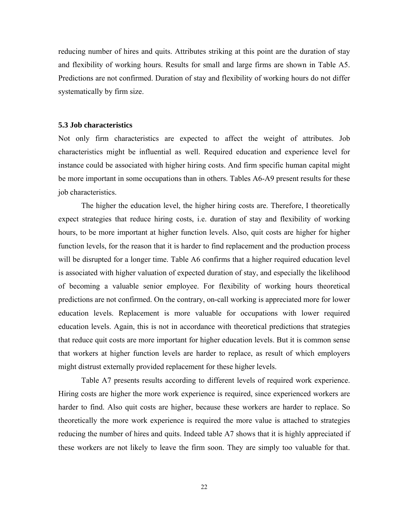reducing number of hires and quits. Attributes striking at this point are the duration of stay and flexibility of working hours. Results for small and large firms are shown in Table A5. Predictions are not confirmed. Duration of stay and flexibility of working hours do not differ systematically by firm size.

#### **5.3 Job characteristics**

Not only firm characteristics are expected to affect the weight of attributes. Job characteristics might be influential as well. Required education and experience level for instance could be associated with higher hiring costs. And firm specific human capital might be more important in some occupations than in others. Tables A6-A9 present results for these job characteristics.

The higher the education level, the higher hiring costs are. Therefore, I theoretically expect strategies that reduce hiring costs, i.e. duration of stay and flexibility of working hours, to be more important at higher function levels. Also, quit costs are higher for higher function levels, for the reason that it is harder to find replacement and the production process will be disrupted for a longer time. Table A6 confirms that a higher required education level is associated with higher valuation of expected duration of stay, and especially the likelihood of becoming a valuable senior employee. For flexibility of working hours theoretical predictions are not confirmed. On the contrary, on-call working is appreciated more for lower education levels. Replacement is more valuable for occupations with lower required education levels. Again, this is not in accordance with theoretical predictions that strategies that reduce quit costs are more important for higher education levels. But it is common sense that workers at higher function levels are harder to replace, as result of which employers might distrust externally provided replacement for these higher levels.

Table A7 presents results according to different levels of required work experience. Hiring costs are higher the more work experience is required, since experienced workers are harder to find. Also quit costs are higher, because these workers are harder to replace. So theoretically the more work experience is required the more value is attached to strategies reducing the number of hires and quits. Indeed table A7 shows that it is highly appreciated if these workers are not likely to leave the firm soon. They are simply too valuable for that.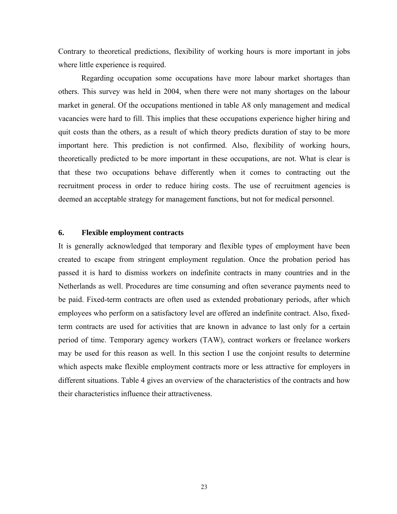Contrary to theoretical predictions, flexibility of working hours is more important in jobs where little experience is required.

Regarding occupation some occupations have more labour market shortages than others. This survey was held in 2004, when there were not many shortages on the labour market in general. Of the occupations mentioned in table A8 only management and medical vacancies were hard to fill. This implies that these occupations experience higher hiring and quit costs than the others, as a result of which theory predicts duration of stay to be more important here. This prediction is not confirmed. Also, flexibility of working hours, theoretically predicted to be more important in these occupations, are not. What is clear is that these two occupations behave differently when it comes to contracting out the recruitment process in order to reduce hiring costs. The use of recruitment agencies is deemed an acceptable strategy for management functions, but not for medical personnel.

## **6. Flexible employment contracts**

It is generally acknowledged that temporary and flexible types of employment have been created to escape from stringent employment regulation. Once the probation period has passed it is hard to dismiss workers on indefinite contracts in many countries and in the Netherlands as well. Procedures are time consuming and often severance payments need to be paid. Fixed-term contracts are often used as extended probationary periods, after which employees who perform on a satisfactory level are offered an indefinite contract. Also, fixedterm contracts are used for activities that are known in advance to last only for a certain period of time. Temporary agency workers (TAW), contract workers or freelance workers may be used for this reason as well. In this section I use the conjoint results to determine which aspects make flexible employment contracts more or less attractive for employers in different situations. Table 4 gives an overview of the characteristics of the contracts and how their characteristics influence their attractiveness.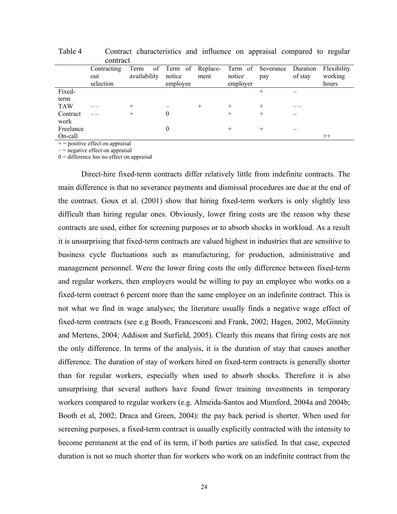|            | Contracting<br>out<br>selection | Term of Term of Replace-<br>availability | notice<br>employee | ment | notice<br>employer | Term of Severance Duration<br>pay | of stay | Flexibility<br>working<br>hours |
|------------|---------------------------------|------------------------------------------|--------------------|------|--------------------|-----------------------------------|---------|---------------------------------|
| Fixed-     |                                 |                                          |                    |      |                    |                                   |         |                                 |
| term       |                                 |                                          |                    |      |                    |                                   |         |                                 |
| <b>TAW</b> |                                 |                                          |                    |      |                    |                                   |         |                                 |
| Contract   |                                 |                                          | $_{0}$             |      |                    |                                   |         |                                 |
| work       |                                 |                                          |                    |      |                    |                                   |         |                                 |
| Freelance  |                                 |                                          | $\theta$           |      |                    |                                   |         |                                 |
| On-call    |                                 |                                          |                    |      |                    |                                   |         | $^{++}$                         |

Table 4 Contract characteristics and influence on appraisal compared to regular contract

 $+$  = positive effect on appraisal

 $=$  negative effect on appraisal

 $0 =$  difference has no effect on appraisal

Direct-hire fixed-term contracts differ relatively little from indefinite contracts. The main difference is that no severance payments and dismissal procedures are due at the end of the contract. Goux et al. (2001) show that hiring fixed-term workers is only slightly less difficult than hiring regular ones. Obviously, lower firing costs are the reason why these contracts are used, either for screening purposes or to absorb shocks in workload. As a result it is unsurprising that fixed-term contracts are valued highest in industries that are sensitive to business cycle fluctuations such as manufacturing, for production, administrative and management personnel. Were the lower firing costs the only difference between fixed-term and regular workers, then employers would be willing to pay an employee who works on a fixed-term contract 6 percent more than the same employee on an indefinite contract. This is not what we find in wage analyses; the literature usually finds a negative wage effect of fixed-term contracts (see e.g Booth, Francesconi and Frank, 2002; Hagen, 2002, McGinnity and Mertens, 2004; Addison and Surfield, 2005). Clearly this means that firing costs are not the only difference. In terms of the analysis, it is the duration of stay that causes another difference. The duration of stay of workers hired on fixed-term contracts is generally shorter than for regular workers, especially when used to absorb shocks. Therefore it is also unsurprising that several authors have found fewer training investments in temporary workers compared to regular workers (e.g. Almeida-Santos and Mumford, 2004a and 2004b; Booth et al, 2002; Draca and Green, 2004): the pay back period is shorter. When used for screening purposes, a fixed-term contract is usually explicitly contracted with the intensity to become permanent at the end of its term, if both parties are satisfied. In that case, expected duration is not so much shorter than for workers who work on an indefinite contract from the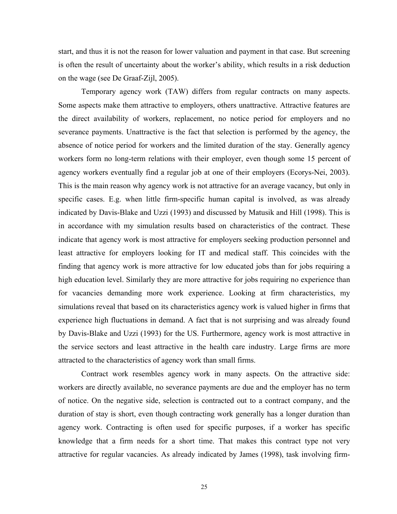start, and thus it is not the reason for lower valuation and payment in that case. But screening is often the result of uncertainty about the worker's ability, which results in a risk deduction on the wage (see De Graaf-Zijl, 2005).

Temporary agency work (TAW) differs from regular contracts on many aspects. Some aspects make them attractive to employers, others unattractive. Attractive features are the direct availability of workers, replacement, no notice period for employers and no severance payments. Unattractive is the fact that selection is performed by the agency, the absence of notice period for workers and the limited duration of the stay. Generally agency workers form no long-term relations with their employer, even though some 15 percent of agency workers eventually find a regular job at one of their employers (Ecorys-Nei, 2003). This is the main reason why agency work is not attractive for an average vacancy, but only in specific cases. E.g. when little firm-specific human capital is involved, as was already indicated by Davis-Blake and Uzzi (1993) and discussed by Matusik and Hill (1998). This is in accordance with my simulation results based on characteristics of the contract. These indicate that agency work is most attractive for employers seeking production personnel and least attractive for employers looking for IT and medical staff. This coincides with the finding that agency work is more attractive for low educated jobs than for jobs requiring a high education level. Similarly they are more attractive for jobs requiring no experience than for vacancies demanding more work experience. Looking at firm characteristics, my simulations reveal that based on its characteristics agency work is valued higher in firms that experience high fluctuations in demand. A fact that is not surprising and was already found by Davis-Blake and Uzzi (1993) for the US. Furthermore, agency work is most attractive in the service sectors and least attractive in the health care industry. Large firms are more attracted to the characteristics of agency work than small firms.

Contract work resembles agency work in many aspects. On the attractive side: workers are directly available, no severance payments are due and the employer has no term of notice. On the negative side, selection is contracted out to a contract company, and the duration of stay is short, even though contracting work generally has a longer duration than agency work. Contracting is often used for specific purposes, if a worker has specific knowledge that a firm needs for a short time. That makes this contract type not very attractive for regular vacancies. As already indicated by James (1998), task involving firm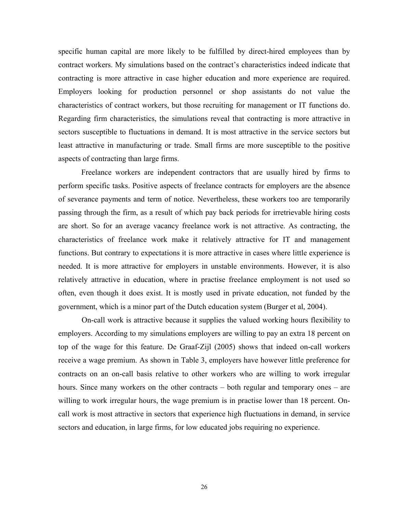specific human capital are more likely to be fulfilled by direct-hired employees than by contract workers. My simulations based on the contract's characteristics indeed indicate that contracting is more attractive in case higher education and more experience are required. Employers looking for production personnel or shop assistants do not value the characteristics of contract workers, but those recruiting for management or IT functions do. Regarding firm characteristics, the simulations reveal that contracting is more attractive in sectors susceptible to fluctuations in demand. It is most attractive in the service sectors but least attractive in manufacturing or trade. Small firms are more susceptible to the positive aspects of contracting than large firms.

Freelance workers are independent contractors that are usually hired by firms to perform specific tasks. Positive aspects of freelance contracts for employers are the absence of severance payments and term of notice. Nevertheless, these workers too are temporarily passing through the firm, as a result of which pay back periods for irretrievable hiring costs are short. So for an average vacancy freelance work is not attractive. As contracting, the characteristics of freelance work make it relatively attractive for IT and management functions. But contrary to expectations it is more attractive in cases where little experience is needed. It is more attractive for employers in unstable environments. However, it is also relatively attractive in education, where in practise freelance employment is not used so often, even though it does exist. It is mostly used in private education, not funded by the government, which is a minor part of the Dutch education system (Burger et al, 2004).

On-call work is attractive because it supplies the valued working hours flexibility to employers. According to my simulations employers are willing to pay an extra 18 percent on top of the wage for this feature. De Graaf-Zijl (2005) shows that indeed on-call workers receive a wage premium. As shown in Table 3, employers have however little preference for contracts on an on-call basis relative to other workers who are willing to work irregular hours. Since many workers on the other contracts – both regular and temporary ones – are willing to work irregular hours, the wage premium is in practise lower than 18 percent. Oncall work is most attractive in sectors that experience high fluctuations in demand, in service sectors and education, in large firms, for low educated jobs requiring no experience.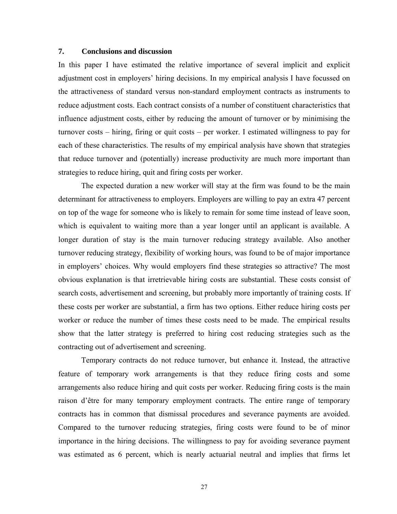## **7. Conclusions and discussion**

In this paper I have estimated the relative importance of several implicit and explicit adjustment cost in employers' hiring decisions. In my empirical analysis I have focussed on the attractiveness of standard versus non-standard employment contracts as instruments to reduce adjustment costs. Each contract consists of a number of constituent characteristics that influence adjustment costs, either by reducing the amount of turnover or by minimising the turnover costs – hiring, firing or quit costs – per worker. I estimated willingness to pay for each of these characteristics. The results of my empirical analysis have shown that strategies that reduce turnover and (potentially) increase productivity are much more important than strategies to reduce hiring, quit and firing costs per worker.

The expected duration a new worker will stay at the firm was found to be the main determinant for attractiveness to employers. Employers are willing to pay an extra 47 percent on top of the wage for someone who is likely to remain for some time instead of leave soon, which is equivalent to waiting more than a year longer until an applicant is available. A longer duration of stay is the main turnover reducing strategy available. Also another turnover reducing strategy, flexibility of working hours, was found to be of major importance in employers' choices. Why would employers find these strategies so attractive? The most obvious explanation is that irretrievable hiring costs are substantial. These costs consist of search costs, advertisement and screening, but probably more importantly of training costs. If these costs per worker are substantial, a firm has two options. Either reduce hiring costs per worker or reduce the number of times these costs need to be made. The empirical results show that the latter strategy is preferred to hiring cost reducing strategies such as the contracting out of advertisement and screening.

Temporary contracts do not reduce turnover, but enhance it. Instead, the attractive feature of temporary work arrangements is that they reduce firing costs and some arrangements also reduce hiring and quit costs per worker. Reducing firing costs is the main raison d'être for many temporary employment contracts. The entire range of temporary contracts has in common that dismissal procedures and severance payments are avoided. Compared to the turnover reducing strategies, firing costs were found to be of minor importance in the hiring decisions. The willingness to pay for avoiding severance payment was estimated as 6 percent, which is nearly actuarial neutral and implies that firms let

27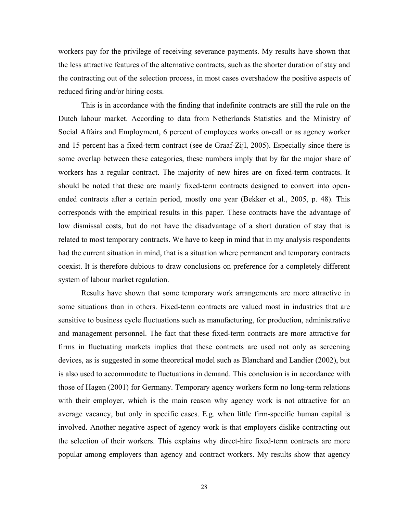workers pay for the privilege of receiving severance payments. My results have shown that the less attractive features of the alternative contracts, such as the shorter duration of stay and the contracting out of the selection process, in most cases overshadow the positive aspects of reduced firing and/or hiring costs.

This is in accordance with the finding that indefinite contracts are still the rule on the Dutch labour market. According to data from Netherlands Statistics and the Ministry of Social Affairs and Employment, 6 percent of employees works on-call or as agency worker and 15 percent has a fixed-term contract (see de Graaf-Zijl, 2005). Especially since there is some overlap between these categories, these numbers imply that by far the major share of workers has a regular contract. The majority of new hires are on fixed-term contracts. It should be noted that these are mainly fixed-term contracts designed to convert into openended contracts after a certain period, mostly one year (Bekker et al., 2005, p. 48). This corresponds with the empirical results in this paper. These contracts have the advantage of low dismissal costs, but do not have the disadvantage of a short duration of stay that is related to most temporary contracts. We have to keep in mind that in my analysis respondents had the current situation in mind, that is a situation where permanent and temporary contracts coexist. It is therefore dubious to draw conclusions on preference for a completely different system of labour market regulation.

Results have shown that some temporary work arrangements are more attractive in some situations than in others. Fixed-term contracts are valued most in industries that are sensitive to business cycle fluctuations such as manufacturing, for production, administrative and management personnel. The fact that these fixed-term contracts are more attractive for firms in fluctuating markets implies that these contracts are used not only as screening devices, as is suggested in some theoretical model such as Blanchard and Landier (2002), but is also used to accommodate to fluctuations in demand. This conclusion is in accordance with those of Hagen (2001) for Germany. Temporary agency workers form no long-term relations with their employer, which is the main reason why agency work is not attractive for an average vacancy, but only in specific cases. E.g. when little firm-specific human capital is involved. Another negative aspect of agency work is that employers dislike contracting out the selection of their workers. This explains why direct-hire fixed-term contracts are more popular among employers than agency and contract workers. My results show that agency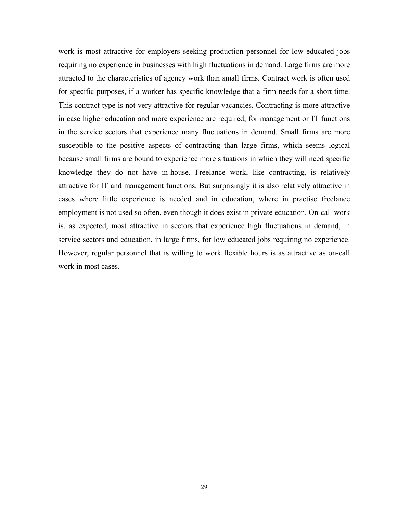work is most attractive for employers seeking production personnel for low educated jobs requiring no experience in businesses with high fluctuations in demand. Large firms are more attracted to the characteristics of agency work than small firms. Contract work is often used for specific purposes, if a worker has specific knowledge that a firm needs for a short time. This contract type is not very attractive for regular vacancies. Contracting is more attractive in case higher education and more experience are required, for management or IT functions in the service sectors that experience many fluctuations in demand. Small firms are more susceptible to the positive aspects of contracting than large firms, which seems logical because small firms are bound to experience more situations in which they will need specific knowledge they do not have in-house. Freelance work, like contracting, is relatively attractive for IT and management functions. But surprisingly it is also relatively attractive in cases where little experience is needed and in education, where in practise freelance employment is not used so often, even though it does exist in private education. On-call work is, as expected, most attractive in sectors that experience high fluctuations in demand, in service sectors and education, in large firms, for low educated jobs requiring no experience. However, regular personnel that is willing to work flexible hours is as attractive as on-call work in most cases.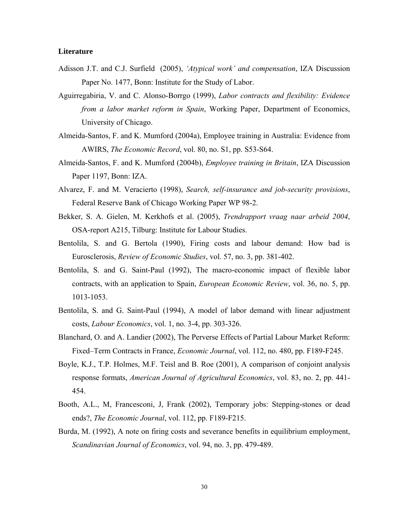#### **Literature**

- Adisson J.T. and C.J. Surfield (2005), *'Atypical work' and compensation*, IZA Discussion Paper No. 1477, Bonn: Institute for the Study of Labor.
- Aguirregabiria, V. and C. Alonso-Borrgo (1999), *Labor contracts and flexibility: Evidence from a labor market reform in Spain*, Working Paper, Department of Economics, University of Chicago.
- Almeida-Santos, F. and K. Mumford (2004a), Employee training in Australia: Evidence from AWIRS, *The Economic Record*, vol. 80, no. S1, pp. S53-S64.
- Almeida-Santos, F. and K. Mumford (2004b), *Employee training in Britain*, IZA Discussion Paper 1197, Bonn: IZA.
- Alvarez, F. and M. Veracierto (1998), *Search, self-insurance and job-security provisions*, Federal Reserve Bank of Chicago Working Paper WP 98-2.
- Bekker, S. A. Gielen, M. Kerkhofs et al. (2005), *Trendrapport vraag naar arbeid 2004*, OSA-report A215, Tilburg: Institute for Labour Studies.
- Bentolila, S. and G. Bertola (1990), Firing costs and labour demand: How bad is Eurosclerosis, *Review of Economic Studies*, vol. 57, no. 3, pp. 381-402.
- Bentolila, S. and G. Saint-Paul (1992), The macro-economic impact of flexible labor contracts, with an application to Spain, *European Economic Review*, vol. 36, no. 5, pp. 1013-1053.
- Bentolila, S. and G. Saint-Paul (1994), A model of labor demand with linear adjustment costs, *Labour Economics*, vol. 1, no. 3-4, pp. 303-326.
- Blanchard, O. and A. Landier (2002), The Perverse Effects of Partial Labour Market Reform: Fixed–Term Contracts in France, *Economic Journal*, vol. 112, no. 480, pp. F189-F245.
- Boyle, K.J., T.P. Holmes, M.F. Teisl and B. Roe (2001), A comparison of conjoint analysis response formats, *American Journal of Agricultural Economics*, vol. 83, no. 2, pp. 441- 454.
- Booth, A.L., M, Francesconi, J, Frank (2002), Temporary jobs: Stepping-stones or dead ends?, *The Economic Journal*, vol. 112, pp. F189-F215.
- Burda, M. (1992), A note on firing costs and severance benefits in equilibrium employment, *Scandinavian Journal of Economics*, vol. 94, no. 3, pp. 479-489.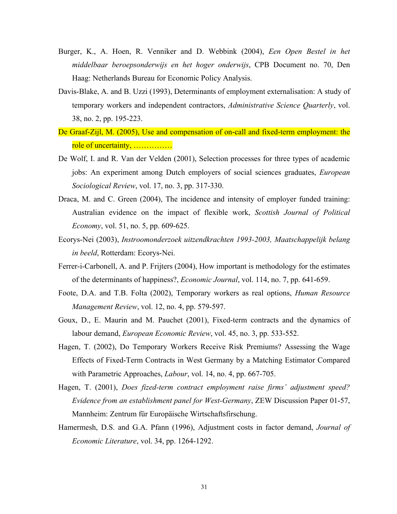- Burger, K., A. Hoen, R. Venniker and D. Webbink (2004), *Een Open Bestel in het middelbaar beroepsonderwijs en het hoger onderwijs*, CPB Document no. 70, Den Haag: Netherlands Bureau for Economic Policy Analysis.
- Davis-Blake, A. and B. Uzzi (1993), Determinants of employment externalisation: A study of temporary workers and independent contractors, *Administrative Science Quarterly*, vol. 38, no. 2, pp. 195-223.
- De Graaf-Zijl, M. (2005), Use and compensation of on-call and fixed-term employment: the role of uncertainty, ……………
- De Wolf, I. and R. Van der Velden (2001), Selection processes for three types of academic jobs: An experiment among Dutch employers of social sciences graduates, *European Sociological Review*, vol. 17, no. 3, pp. 317-330.
- Draca, M. and C. Green (2004), The incidence and intensity of employer funded training: Australian evidence on the impact of flexible work, *Scottish Journal of Political Economy*, vol. 51, no. 5, pp. 609-625.
- Ecorys-Nei (2003), *Instroomonderzoek uitzendkrachten 1993-2003, Maatschappelijk belang in beeld*, Rotterdam: Ecorys-Nei.
- Ferrer-i-Carbonell, A. and P. Frijters (2004), How important is methodology for the estimates of the determinants of happiness?, *Economic Journal*, vol. 114, no. 7, pp. 641-659.
- Foote, D.A. and T.B. Folta (2002), Temporary workers as real options, *Human Resource Management Review*, vol. 12, no. 4, pp. 579-597.
- Goux, D., E. Maurin and M. Pauchet (2001), Fixed-term contracts and the dynamics of labour demand, *European Economic Review*, vol. 45, no. 3, pp. 533-552.
- Hagen, T. (2002), Do Temporary Workers Receive Risk Premiums? Assessing the Wage Effects of Fixed-Term Contracts in West Germany by a Matching Estimator Compared with Parametric Approaches, *Labour*, vol. 14, no. 4, pp. 667-705.
- Hagen, T. (2001), *Does fized-term contract employment raise firms' adjustment speed? Evidence from an establishment panel for West-Germany*, ZEW Discussion Paper 01-57, Mannheim: Zentrum für Europäische Wirtschaftsfirschung.
- Hamermesh, D.S. and G.A. Pfann (1996), Adjustment costs in factor demand, *Journal of Economic Literature*, vol. 34, pp. 1264-1292.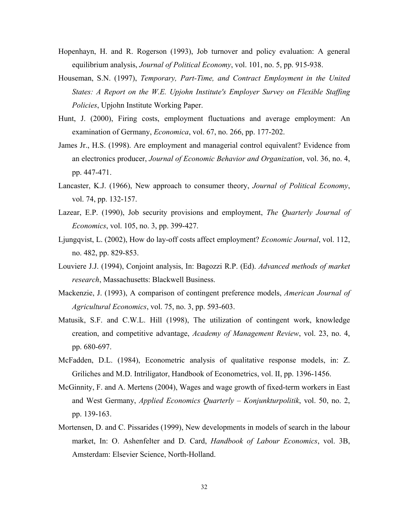- Hopenhayn, H. and R. Rogerson (1993), Job turnover and policy evaluation: A general equilibrium analysis, *Journal of Political Economy*, vol. 101, no. 5, pp. 915-938.
- Houseman, S.N. (1997), *Temporary, Part-Time, and Contract Employment in the United States: A Report on the W.E. Upjohn Institute's Employer Survey on Flexible Staffing Policies*, Upjohn Institute Working Paper.
- Hunt, J. (2000), Firing costs, employment fluctuations and average employment: An examination of Germany, *Economica*, vol. 67, no. 266, pp. 177-202.
- James Jr., H.S. (1998). Are employment and managerial control equivalent? Evidence from an electronics producer, *Journal of Economic Behavior and Organization*, vol. 36, no. 4, pp. 447-471.
- Lancaster, K.J. (1966), New approach to consumer theory, *Journal of Political Economy*, vol. 74, pp. 132-157.
- Lazear, E.P. (1990), Job security provisions and employment, *The Quarterly Journal of Economics*, vol. 105, no. 3, pp. 399-427.
- Ljungqvist, L. (2002), How do lay-off costs affect employment? *Economic Journal*, vol. 112, no. 482, pp. 829-853.
- Louviere J.J. (1994), Conjoint analysis, In: Bagozzi R.P. (Ed). *Advanced methods of market research*, Massachusetts: Blackwell Business.
- Mackenzie, J. (1993), A comparison of contingent preference models, *American Journal of Agricultural Economics*, vol. 75, no. 3, pp. 593-603.
- Matusik, S.F. and C.W.L. Hill (1998), The utilization of contingent work, knowledge creation, and competitive advantage, *Academy of Management Review*, vol. 23, no. 4, pp. 680-697.
- McFadden, D.L. (1984), Econometric analysis of qualitative response models, in: Z. Griliches and M.D. Intriligator, Handbook of Econometrics, vol. II, pp. 1396-1456.
- McGinnity, F. and A. Mertens (2004), Wages and wage growth of fixed-term workers in East and West Germany, *Applied Economics Quarterly – Konjunkturpolitik*, vol. 50, no. 2, pp. 139-163.
- Mortensen, D. and C. Pissarides (1999), New developments in models of search in the labour market, In: O. Ashenfelter and D. Card, *Handbook of Labour Economics*, vol. 3B, Amsterdam: Elsevier Science, North-Holland.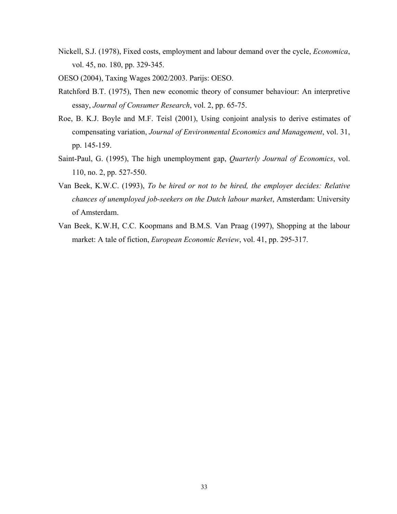- Nickell, S.J. (1978), Fixed costs, employment and labour demand over the cycle, *Economica*, vol. 45, no. 180, pp. 329-345.
- OESO (2004), Taxing Wages 2002/2003. Parijs: OESO.
- Ratchford B.T. (1975), Then new economic theory of consumer behaviour: An interpretive essay, *Journal of Consumer Research*, vol. 2, pp. 65-75.
- Roe, B. K.J. Boyle and M.F. Teisl (2001), Using conjoint analysis to derive estimates of compensating variation, *Journal of Environmental Economics and Management*, vol. 31, pp. 145-159.
- Saint-Paul, G. (1995), The high unemployment gap, *Quarterly Journal of Economics*, vol. 110, no. 2, pp. 527-550.
- Van Beek, K.W.C. (1993), *To be hired or not to be hired, the employer decides: Relative chances of unemployed job-seekers on the Dutch labour market*, Amsterdam: University of Amsterdam.
- Van Beek, K.W.H, C.C. Koopmans and B.M.S. Van Praag (1997), Shopping at the labour market: A tale of fiction, *European Economic Review*, vol. 41, pp. 295-317.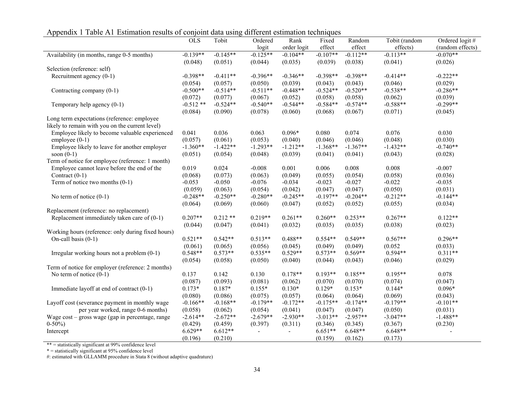Appendix 1 Table A1 Estimation results of conjoint data using different estimation techniques

| <b>OLS</b><br>Tobit<br>Tobit (random<br>Ordered logit#<br>Ordered<br>Rank<br>Fixed<br>Random<br>(random effects)<br>order logit<br>effect<br>effects)<br>logit<br>effect<br>$-0.070**$<br>$-0.139**$<br>$-0.125**$<br>$-0.113**$<br>Availability (in months, range 0-5 months)<br>$-0.145**$<br>$-0.104**$<br>$-0.107**$<br>$-0.112**$<br>(0.048)<br>(0.051)<br>(0.044)<br>(0.035)<br>(0.039)<br>(0.038)<br>(0.041)<br>(0.026)<br>Selection (reference: self)<br>Recruitment agency (0-1)<br>$-0.398**$<br>$-0.411**$<br>$-0.396**$<br>$-0.346**$<br>$-0.398**$<br>$-0.398**$<br>$-0.414**$<br>$-0.222**$<br>(0.039)<br>(0.046)<br>(0.029)<br>(0.054)<br>(0.057)<br>(0.050)<br>(0.043)<br>(0.043)<br>$-0.500**$<br>$-0.514**$<br>$-0.511**$<br>$-0.448**$<br>$-0.524**$<br>$-0.520**$<br>$-0.538**$<br>$-0.286**$<br>Contracting company (0-1)<br>(0.072)<br>(0.077)<br>(0.067)<br>(0.052)<br>(0.058)<br>(0.058)<br>(0.062)<br>(0.039)<br>$-0.544**$<br>$-0.588**$<br>$-0.299**$<br>$-0.512**$<br>$-0.524**$<br>$-0.540**$<br>$-0.584**$<br>$-0.574**$<br>Temporary help agency $(0-1)$<br>(0.084)<br>(0.090)<br>(0.078)<br>(0.060)<br>(0.068)<br>(0.067)<br>(0.071)<br>(0.045)<br>Long term expectations (reference: employee<br>likely to remain with you on the current level)<br>Employee likely to become valuable experienced<br>0.041<br>0.036<br>0.063<br>$0.096*$<br>0.080<br>0.074<br>0.076<br>0.030<br>(0.057)<br>(0.061)<br>(0.053)<br>(0.040)<br>(0.046)<br>(0.046)<br>(0.048)<br>(0.030)<br>employee $(0-1)$<br>$-1.432**$<br>$-1.360**$<br>$-1.293**$<br>$-1.212**$<br>$-1.368**$<br>$-1.367**$<br>$-0.740**$<br>Employee likely to leave for another employer<br>$-1.422**$<br>soon $(0-1)$<br>(0.043)<br>(0.051)<br>(0.054)<br>(0.048)<br>(0.039)<br>(0.041)<br>(0.041)<br>(0.028)<br>Term of notice for employee (reference: 1 month)<br>Employee cannot leave before the end of the<br>0.019<br>0.024<br>0.001<br>0.008<br>0.008<br>$-0.008$<br>0.006<br>$-0.007$<br>Contract $(0-1)$<br>(0.058)<br>(0.068)<br>(0.073)<br>(0.063)<br>(0.049)<br>(0.055)<br>(0.054)<br>(0.036)<br>$-0.022$<br>Term of notice two months $(0-1)$<br>$-0.053$<br>$-0.050$<br>$-0.076$<br>$-0.034$<br>$-0.023$<br>$-0.027$<br>$-0.035$<br>(0.042)<br>(0.047)<br>(0.047)<br>(0.050)<br>(0.059)<br>(0.063)<br>(0.054)<br>(0.031)<br>$-0.204**$<br>$-0.212**$<br>$-0.248**$<br>$-0.250**$<br>$-0.280**$<br>$-0.245**$<br>$-0.197**$<br>$-0.144**$<br>No term of notice $(0-1)$<br>(0.055)<br>(0.064)<br>(0.069)<br>(0.060)<br>(0.047)<br>(0.052)<br>(0.052)<br>(0.034)<br>Replacement (reference: no replacement)<br>Replacement immediately taken care of $(0-1)$<br>$0.207**$<br>$0.212**$<br>$0.219**$<br>$0.261**$<br>$0.260**$<br>$0.253**$<br>$0.267**$<br>$0.122**$<br>(0.047)<br>(0.041)<br>(0.032)<br>(0.035)<br>(0.035)<br>(0.038)<br>(0.023)<br>(0.044)<br>Working hours (reference: only during fixed hours)<br>$0.521**$<br>$0.542**$<br>$0.488**$<br>$0.554**$<br>$0.549**$<br>$0.567**$<br>On-call basis $(0-1)$<br>$0.513**$<br>$0.296**$<br>(0.061)<br>(0.052)<br>(0.065)<br>(0.056)<br>(0.045)<br>(0.049)<br>(0.049)<br>(0.033)<br>$0.548**$<br>$0.573**$<br>$0.529**$<br>$0.569**$<br>0.594**<br>$0.535**$<br>$0.573**$<br>$0.311**$<br>Irregular working hours not a problem $(0-1)$<br>(0.046)<br>(0.054)<br>(0.058)<br>(0.050)<br>(0.040)<br>(0.044)<br>(0.043)<br>(0.029)<br>Term of notice for employer (reference: 2 months)<br>No term of notice $(0-1)$<br>0.130<br>$0.178**$<br>$0.193**$<br>$0.185**$<br>0.078<br>0.137<br>0.142<br>$0.195**$<br>(0.087)<br>(0.093)<br>(0.081)<br>(0.062)<br>(0.070)<br>(0.070)<br>(0.074)<br>(0.047)<br>$0.130*$<br>$0.129*$<br>$0.153*$<br>$0.173*$<br>$0.187*$<br>$0.155*$<br>$0.144*$<br>$0.096*$<br>Immediate layoff at end of contract (0-1)<br>(0.080)<br>(0.086)<br>(0.075)<br>(0.057)<br>(0.064)<br>(0.064)<br>(0.069)<br>(0.043)<br>$-0.166**$<br>$-0.168**$<br>$-0.179**$<br>$-0.172**$<br>$-0.175**$<br>$-0.174**$<br>$-0.179**$<br>$-0.101**$<br>Layoff cost (severance payment in monthly wage<br>per year worked, range 0-6 months)<br>(0.058)<br>(0.062)<br>(0.054)<br>(0.041)<br>(0.047)<br>(0.050)<br>(0.031)<br>(0.047) |                                                  |            |            |            |            |            |            |            |            |
|-----------------------------------------------------------------------------------------------------------------------------------------------------------------------------------------------------------------------------------------------------------------------------------------------------------------------------------------------------------------------------------------------------------------------------------------------------------------------------------------------------------------------------------------------------------------------------------------------------------------------------------------------------------------------------------------------------------------------------------------------------------------------------------------------------------------------------------------------------------------------------------------------------------------------------------------------------------------------------------------------------------------------------------------------------------------------------------------------------------------------------------------------------------------------------------------------------------------------------------------------------------------------------------------------------------------------------------------------------------------------------------------------------------------------------------------------------------------------------------------------------------------------------------------------------------------------------------------------------------------------------------------------------------------------------------------------------------------------------------------------------------------------------------------------------------------------------------------------------------------------------------------------------------------------------------------------------------------------------------------------------------------------------------------------------------------------------------------------------------------------------------------------------------------------------------------------------------------------------------------------------------------------------------------------------------------------------------------------------------------------------------------------------------------------------------------------------------------------------------------------------------------------------------------------------------------------------------------------------------------------------------------------------------------------------------------------------------------------------------------------------------------------------------------------------------------------------------------------------------------------------------------------------------------------------------------------------------------------------------------------------------------------------------------------------------------------------------------------------------------------------------------------------------------------------------------------------------------------------------------------------------------------------------------------------------------------------------------------------------------------------------------------------------------------------------------------------------------------------------------------------------------------------------------------------------------------------------------------------------------------------------------------------------------------------------------------------------------------------------------------------------------------------------------------------------------------------------------------------------------------------------------------------------------------------------------------------------------------------------------------------------------------------------------------------------------------------------------------------------------------------------------------------------------------------------------------------|--------------------------------------------------|------------|------------|------------|------------|------------|------------|------------|------------|
|                                                                                                                                                                                                                                                                                                                                                                                                                                                                                                                                                                                                                                                                                                                                                                                                                                                                                                                                                                                                                                                                                                                                                                                                                                                                                                                                                                                                                                                                                                                                                                                                                                                                                                                                                                                                                                                                                                                                                                                                                                                                                                                                                                                                                                                                                                                                                                                                                                                                                                                                                                                                                                                                                                                                                                                                                                                                                                                                                                                                                                                                                                                                                                                                                                                                                                                                                                                                                                                                                                                                                                                                                                                                                                                                                                                                                                                                                                                                                                                                                                                                                                                                                                                                     |                                                  |            |            |            |            |            |            |            |            |
|                                                                                                                                                                                                                                                                                                                                                                                                                                                                                                                                                                                                                                                                                                                                                                                                                                                                                                                                                                                                                                                                                                                                                                                                                                                                                                                                                                                                                                                                                                                                                                                                                                                                                                                                                                                                                                                                                                                                                                                                                                                                                                                                                                                                                                                                                                                                                                                                                                                                                                                                                                                                                                                                                                                                                                                                                                                                                                                                                                                                                                                                                                                                                                                                                                                                                                                                                                                                                                                                                                                                                                                                                                                                                                                                                                                                                                                                                                                                                                                                                                                                                                                                                                                                     |                                                  |            |            |            |            |            |            |            |            |
|                                                                                                                                                                                                                                                                                                                                                                                                                                                                                                                                                                                                                                                                                                                                                                                                                                                                                                                                                                                                                                                                                                                                                                                                                                                                                                                                                                                                                                                                                                                                                                                                                                                                                                                                                                                                                                                                                                                                                                                                                                                                                                                                                                                                                                                                                                                                                                                                                                                                                                                                                                                                                                                                                                                                                                                                                                                                                                                                                                                                                                                                                                                                                                                                                                                                                                                                                                                                                                                                                                                                                                                                                                                                                                                                                                                                                                                                                                                                                                                                                                                                                                                                                                                                     |                                                  |            |            |            |            |            |            |            |            |
|                                                                                                                                                                                                                                                                                                                                                                                                                                                                                                                                                                                                                                                                                                                                                                                                                                                                                                                                                                                                                                                                                                                                                                                                                                                                                                                                                                                                                                                                                                                                                                                                                                                                                                                                                                                                                                                                                                                                                                                                                                                                                                                                                                                                                                                                                                                                                                                                                                                                                                                                                                                                                                                                                                                                                                                                                                                                                                                                                                                                                                                                                                                                                                                                                                                                                                                                                                                                                                                                                                                                                                                                                                                                                                                                                                                                                                                                                                                                                                                                                                                                                                                                                                                                     |                                                  |            |            |            |            |            |            |            |            |
|                                                                                                                                                                                                                                                                                                                                                                                                                                                                                                                                                                                                                                                                                                                                                                                                                                                                                                                                                                                                                                                                                                                                                                                                                                                                                                                                                                                                                                                                                                                                                                                                                                                                                                                                                                                                                                                                                                                                                                                                                                                                                                                                                                                                                                                                                                                                                                                                                                                                                                                                                                                                                                                                                                                                                                                                                                                                                                                                                                                                                                                                                                                                                                                                                                                                                                                                                                                                                                                                                                                                                                                                                                                                                                                                                                                                                                                                                                                                                                                                                                                                                                                                                                                                     |                                                  |            |            |            |            |            |            |            |            |
|                                                                                                                                                                                                                                                                                                                                                                                                                                                                                                                                                                                                                                                                                                                                                                                                                                                                                                                                                                                                                                                                                                                                                                                                                                                                                                                                                                                                                                                                                                                                                                                                                                                                                                                                                                                                                                                                                                                                                                                                                                                                                                                                                                                                                                                                                                                                                                                                                                                                                                                                                                                                                                                                                                                                                                                                                                                                                                                                                                                                                                                                                                                                                                                                                                                                                                                                                                                                                                                                                                                                                                                                                                                                                                                                                                                                                                                                                                                                                                                                                                                                                                                                                                                                     |                                                  |            |            |            |            |            |            |            |            |
|                                                                                                                                                                                                                                                                                                                                                                                                                                                                                                                                                                                                                                                                                                                                                                                                                                                                                                                                                                                                                                                                                                                                                                                                                                                                                                                                                                                                                                                                                                                                                                                                                                                                                                                                                                                                                                                                                                                                                                                                                                                                                                                                                                                                                                                                                                                                                                                                                                                                                                                                                                                                                                                                                                                                                                                                                                                                                                                                                                                                                                                                                                                                                                                                                                                                                                                                                                                                                                                                                                                                                                                                                                                                                                                                                                                                                                                                                                                                                                                                                                                                                                                                                                                                     |                                                  |            |            |            |            |            |            |            |            |
|                                                                                                                                                                                                                                                                                                                                                                                                                                                                                                                                                                                                                                                                                                                                                                                                                                                                                                                                                                                                                                                                                                                                                                                                                                                                                                                                                                                                                                                                                                                                                                                                                                                                                                                                                                                                                                                                                                                                                                                                                                                                                                                                                                                                                                                                                                                                                                                                                                                                                                                                                                                                                                                                                                                                                                                                                                                                                                                                                                                                                                                                                                                                                                                                                                                                                                                                                                                                                                                                                                                                                                                                                                                                                                                                                                                                                                                                                                                                                                                                                                                                                                                                                                                                     |                                                  |            |            |            |            |            |            |            |            |
|                                                                                                                                                                                                                                                                                                                                                                                                                                                                                                                                                                                                                                                                                                                                                                                                                                                                                                                                                                                                                                                                                                                                                                                                                                                                                                                                                                                                                                                                                                                                                                                                                                                                                                                                                                                                                                                                                                                                                                                                                                                                                                                                                                                                                                                                                                                                                                                                                                                                                                                                                                                                                                                                                                                                                                                                                                                                                                                                                                                                                                                                                                                                                                                                                                                                                                                                                                                                                                                                                                                                                                                                                                                                                                                                                                                                                                                                                                                                                                                                                                                                                                                                                                                                     |                                                  |            |            |            |            |            |            |            |            |
|                                                                                                                                                                                                                                                                                                                                                                                                                                                                                                                                                                                                                                                                                                                                                                                                                                                                                                                                                                                                                                                                                                                                                                                                                                                                                                                                                                                                                                                                                                                                                                                                                                                                                                                                                                                                                                                                                                                                                                                                                                                                                                                                                                                                                                                                                                                                                                                                                                                                                                                                                                                                                                                                                                                                                                                                                                                                                                                                                                                                                                                                                                                                                                                                                                                                                                                                                                                                                                                                                                                                                                                                                                                                                                                                                                                                                                                                                                                                                                                                                                                                                                                                                                                                     |                                                  |            |            |            |            |            |            |            |            |
|                                                                                                                                                                                                                                                                                                                                                                                                                                                                                                                                                                                                                                                                                                                                                                                                                                                                                                                                                                                                                                                                                                                                                                                                                                                                                                                                                                                                                                                                                                                                                                                                                                                                                                                                                                                                                                                                                                                                                                                                                                                                                                                                                                                                                                                                                                                                                                                                                                                                                                                                                                                                                                                                                                                                                                                                                                                                                                                                                                                                                                                                                                                                                                                                                                                                                                                                                                                                                                                                                                                                                                                                                                                                                                                                                                                                                                                                                                                                                                                                                                                                                                                                                                                                     |                                                  |            |            |            |            |            |            |            |            |
|                                                                                                                                                                                                                                                                                                                                                                                                                                                                                                                                                                                                                                                                                                                                                                                                                                                                                                                                                                                                                                                                                                                                                                                                                                                                                                                                                                                                                                                                                                                                                                                                                                                                                                                                                                                                                                                                                                                                                                                                                                                                                                                                                                                                                                                                                                                                                                                                                                                                                                                                                                                                                                                                                                                                                                                                                                                                                                                                                                                                                                                                                                                                                                                                                                                                                                                                                                                                                                                                                                                                                                                                                                                                                                                                                                                                                                                                                                                                                                                                                                                                                                                                                                                                     |                                                  |            |            |            |            |            |            |            |            |
|                                                                                                                                                                                                                                                                                                                                                                                                                                                                                                                                                                                                                                                                                                                                                                                                                                                                                                                                                                                                                                                                                                                                                                                                                                                                                                                                                                                                                                                                                                                                                                                                                                                                                                                                                                                                                                                                                                                                                                                                                                                                                                                                                                                                                                                                                                                                                                                                                                                                                                                                                                                                                                                                                                                                                                                                                                                                                                                                                                                                                                                                                                                                                                                                                                                                                                                                                                                                                                                                                                                                                                                                                                                                                                                                                                                                                                                                                                                                                                                                                                                                                                                                                                                                     |                                                  |            |            |            |            |            |            |            |            |
|                                                                                                                                                                                                                                                                                                                                                                                                                                                                                                                                                                                                                                                                                                                                                                                                                                                                                                                                                                                                                                                                                                                                                                                                                                                                                                                                                                                                                                                                                                                                                                                                                                                                                                                                                                                                                                                                                                                                                                                                                                                                                                                                                                                                                                                                                                                                                                                                                                                                                                                                                                                                                                                                                                                                                                                                                                                                                                                                                                                                                                                                                                                                                                                                                                                                                                                                                                                                                                                                                                                                                                                                                                                                                                                                                                                                                                                                                                                                                                                                                                                                                                                                                                                                     |                                                  |            |            |            |            |            |            |            |            |
|                                                                                                                                                                                                                                                                                                                                                                                                                                                                                                                                                                                                                                                                                                                                                                                                                                                                                                                                                                                                                                                                                                                                                                                                                                                                                                                                                                                                                                                                                                                                                                                                                                                                                                                                                                                                                                                                                                                                                                                                                                                                                                                                                                                                                                                                                                                                                                                                                                                                                                                                                                                                                                                                                                                                                                                                                                                                                                                                                                                                                                                                                                                                                                                                                                                                                                                                                                                                                                                                                                                                                                                                                                                                                                                                                                                                                                                                                                                                                                                                                                                                                                                                                                                                     |                                                  |            |            |            |            |            |            |            |            |
|                                                                                                                                                                                                                                                                                                                                                                                                                                                                                                                                                                                                                                                                                                                                                                                                                                                                                                                                                                                                                                                                                                                                                                                                                                                                                                                                                                                                                                                                                                                                                                                                                                                                                                                                                                                                                                                                                                                                                                                                                                                                                                                                                                                                                                                                                                                                                                                                                                                                                                                                                                                                                                                                                                                                                                                                                                                                                                                                                                                                                                                                                                                                                                                                                                                                                                                                                                                                                                                                                                                                                                                                                                                                                                                                                                                                                                                                                                                                                                                                                                                                                                                                                                                                     |                                                  |            |            |            |            |            |            |            |            |
|                                                                                                                                                                                                                                                                                                                                                                                                                                                                                                                                                                                                                                                                                                                                                                                                                                                                                                                                                                                                                                                                                                                                                                                                                                                                                                                                                                                                                                                                                                                                                                                                                                                                                                                                                                                                                                                                                                                                                                                                                                                                                                                                                                                                                                                                                                                                                                                                                                                                                                                                                                                                                                                                                                                                                                                                                                                                                                                                                                                                                                                                                                                                                                                                                                                                                                                                                                                                                                                                                                                                                                                                                                                                                                                                                                                                                                                                                                                                                                                                                                                                                                                                                                                                     |                                                  |            |            |            |            |            |            |            |            |
|                                                                                                                                                                                                                                                                                                                                                                                                                                                                                                                                                                                                                                                                                                                                                                                                                                                                                                                                                                                                                                                                                                                                                                                                                                                                                                                                                                                                                                                                                                                                                                                                                                                                                                                                                                                                                                                                                                                                                                                                                                                                                                                                                                                                                                                                                                                                                                                                                                                                                                                                                                                                                                                                                                                                                                                                                                                                                                                                                                                                                                                                                                                                                                                                                                                                                                                                                                                                                                                                                                                                                                                                                                                                                                                                                                                                                                                                                                                                                                                                                                                                                                                                                                                                     |                                                  |            |            |            |            |            |            |            |            |
|                                                                                                                                                                                                                                                                                                                                                                                                                                                                                                                                                                                                                                                                                                                                                                                                                                                                                                                                                                                                                                                                                                                                                                                                                                                                                                                                                                                                                                                                                                                                                                                                                                                                                                                                                                                                                                                                                                                                                                                                                                                                                                                                                                                                                                                                                                                                                                                                                                                                                                                                                                                                                                                                                                                                                                                                                                                                                                                                                                                                                                                                                                                                                                                                                                                                                                                                                                                                                                                                                                                                                                                                                                                                                                                                                                                                                                                                                                                                                                                                                                                                                                                                                                                                     |                                                  |            |            |            |            |            |            |            |            |
|                                                                                                                                                                                                                                                                                                                                                                                                                                                                                                                                                                                                                                                                                                                                                                                                                                                                                                                                                                                                                                                                                                                                                                                                                                                                                                                                                                                                                                                                                                                                                                                                                                                                                                                                                                                                                                                                                                                                                                                                                                                                                                                                                                                                                                                                                                                                                                                                                                                                                                                                                                                                                                                                                                                                                                                                                                                                                                                                                                                                                                                                                                                                                                                                                                                                                                                                                                                                                                                                                                                                                                                                                                                                                                                                                                                                                                                                                                                                                                                                                                                                                                                                                                                                     |                                                  |            |            |            |            |            |            |            |            |
|                                                                                                                                                                                                                                                                                                                                                                                                                                                                                                                                                                                                                                                                                                                                                                                                                                                                                                                                                                                                                                                                                                                                                                                                                                                                                                                                                                                                                                                                                                                                                                                                                                                                                                                                                                                                                                                                                                                                                                                                                                                                                                                                                                                                                                                                                                                                                                                                                                                                                                                                                                                                                                                                                                                                                                                                                                                                                                                                                                                                                                                                                                                                                                                                                                                                                                                                                                                                                                                                                                                                                                                                                                                                                                                                                                                                                                                                                                                                                                                                                                                                                                                                                                                                     |                                                  |            |            |            |            |            |            |            |            |
|                                                                                                                                                                                                                                                                                                                                                                                                                                                                                                                                                                                                                                                                                                                                                                                                                                                                                                                                                                                                                                                                                                                                                                                                                                                                                                                                                                                                                                                                                                                                                                                                                                                                                                                                                                                                                                                                                                                                                                                                                                                                                                                                                                                                                                                                                                                                                                                                                                                                                                                                                                                                                                                                                                                                                                                                                                                                                                                                                                                                                                                                                                                                                                                                                                                                                                                                                                                                                                                                                                                                                                                                                                                                                                                                                                                                                                                                                                                                                                                                                                                                                                                                                                                                     |                                                  |            |            |            |            |            |            |            |            |
|                                                                                                                                                                                                                                                                                                                                                                                                                                                                                                                                                                                                                                                                                                                                                                                                                                                                                                                                                                                                                                                                                                                                                                                                                                                                                                                                                                                                                                                                                                                                                                                                                                                                                                                                                                                                                                                                                                                                                                                                                                                                                                                                                                                                                                                                                                                                                                                                                                                                                                                                                                                                                                                                                                                                                                                                                                                                                                                                                                                                                                                                                                                                                                                                                                                                                                                                                                                                                                                                                                                                                                                                                                                                                                                                                                                                                                                                                                                                                                                                                                                                                                                                                                                                     |                                                  |            |            |            |            |            |            |            |            |
|                                                                                                                                                                                                                                                                                                                                                                                                                                                                                                                                                                                                                                                                                                                                                                                                                                                                                                                                                                                                                                                                                                                                                                                                                                                                                                                                                                                                                                                                                                                                                                                                                                                                                                                                                                                                                                                                                                                                                                                                                                                                                                                                                                                                                                                                                                                                                                                                                                                                                                                                                                                                                                                                                                                                                                                                                                                                                                                                                                                                                                                                                                                                                                                                                                                                                                                                                                                                                                                                                                                                                                                                                                                                                                                                                                                                                                                                                                                                                                                                                                                                                                                                                                                                     |                                                  |            |            |            |            |            |            |            |            |
|                                                                                                                                                                                                                                                                                                                                                                                                                                                                                                                                                                                                                                                                                                                                                                                                                                                                                                                                                                                                                                                                                                                                                                                                                                                                                                                                                                                                                                                                                                                                                                                                                                                                                                                                                                                                                                                                                                                                                                                                                                                                                                                                                                                                                                                                                                                                                                                                                                                                                                                                                                                                                                                                                                                                                                                                                                                                                                                                                                                                                                                                                                                                                                                                                                                                                                                                                                                                                                                                                                                                                                                                                                                                                                                                                                                                                                                                                                                                                                                                                                                                                                                                                                                                     |                                                  |            |            |            |            |            |            |            |            |
|                                                                                                                                                                                                                                                                                                                                                                                                                                                                                                                                                                                                                                                                                                                                                                                                                                                                                                                                                                                                                                                                                                                                                                                                                                                                                                                                                                                                                                                                                                                                                                                                                                                                                                                                                                                                                                                                                                                                                                                                                                                                                                                                                                                                                                                                                                                                                                                                                                                                                                                                                                                                                                                                                                                                                                                                                                                                                                                                                                                                                                                                                                                                                                                                                                                                                                                                                                                                                                                                                                                                                                                                                                                                                                                                                                                                                                                                                                                                                                                                                                                                                                                                                                                                     |                                                  |            |            |            |            |            |            |            |            |
|                                                                                                                                                                                                                                                                                                                                                                                                                                                                                                                                                                                                                                                                                                                                                                                                                                                                                                                                                                                                                                                                                                                                                                                                                                                                                                                                                                                                                                                                                                                                                                                                                                                                                                                                                                                                                                                                                                                                                                                                                                                                                                                                                                                                                                                                                                                                                                                                                                                                                                                                                                                                                                                                                                                                                                                                                                                                                                                                                                                                                                                                                                                                                                                                                                                                                                                                                                                                                                                                                                                                                                                                                                                                                                                                                                                                                                                                                                                                                                                                                                                                                                                                                                                                     |                                                  |            |            |            |            |            |            |            |            |
|                                                                                                                                                                                                                                                                                                                                                                                                                                                                                                                                                                                                                                                                                                                                                                                                                                                                                                                                                                                                                                                                                                                                                                                                                                                                                                                                                                                                                                                                                                                                                                                                                                                                                                                                                                                                                                                                                                                                                                                                                                                                                                                                                                                                                                                                                                                                                                                                                                                                                                                                                                                                                                                                                                                                                                                                                                                                                                                                                                                                                                                                                                                                                                                                                                                                                                                                                                                                                                                                                                                                                                                                                                                                                                                                                                                                                                                                                                                                                                                                                                                                                                                                                                                                     |                                                  |            |            |            |            |            |            |            |            |
|                                                                                                                                                                                                                                                                                                                                                                                                                                                                                                                                                                                                                                                                                                                                                                                                                                                                                                                                                                                                                                                                                                                                                                                                                                                                                                                                                                                                                                                                                                                                                                                                                                                                                                                                                                                                                                                                                                                                                                                                                                                                                                                                                                                                                                                                                                                                                                                                                                                                                                                                                                                                                                                                                                                                                                                                                                                                                                                                                                                                                                                                                                                                                                                                                                                                                                                                                                                                                                                                                                                                                                                                                                                                                                                                                                                                                                                                                                                                                                                                                                                                                                                                                                                                     |                                                  |            |            |            |            |            |            |            |            |
|                                                                                                                                                                                                                                                                                                                                                                                                                                                                                                                                                                                                                                                                                                                                                                                                                                                                                                                                                                                                                                                                                                                                                                                                                                                                                                                                                                                                                                                                                                                                                                                                                                                                                                                                                                                                                                                                                                                                                                                                                                                                                                                                                                                                                                                                                                                                                                                                                                                                                                                                                                                                                                                                                                                                                                                                                                                                                                                                                                                                                                                                                                                                                                                                                                                                                                                                                                                                                                                                                                                                                                                                                                                                                                                                                                                                                                                                                                                                                                                                                                                                                                                                                                                                     |                                                  |            |            |            |            |            |            |            |            |
|                                                                                                                                                                                                                                                                                                                                                                                                                                                                                                                                                                                                                                                                                                                                                                                                                                                                                                                                                                                                                                                                                                                                                                                                                                                                                                                                                                                                                                                                                                                                                                                                                                                                                                                                                                                                                                                                                                                                                                                                                                                                                                                                                                                                                                                                                                                                                                                                                                                                                                                                                                                                                                                                                                                                                                                                                                                                                                                                                                                                                                                                                                                                                                                                                                                                                                                                                                                                                                                                                                                                                                                                                                                                                                                                                                                                                                                                                                                                                                                                                                                                                                                                                                                                     |                                                  |            |            |            |            |            |            |            |            |
|                                                                                                                                                                                                                                                                                                                                                                                                                                                                                                                                                                                                                                                                                                                                                                                                                                                                                                                                                                                                                                                                                                                                                                                                                                                                                                                                                                                                                                                                                                                                                                                                                                                                                                                                                                                                                                                                                                                                                                                                                                                                                                                                                                                                                                                                                                                                                                                                                                                                                                                                                                                                                                                                                                                                                                                                                                                                                                                                                                                                                                                                                                                                                                                                                                                                                                                                                                                                                                                                                                                                                                                                                                                                                                                                                                                                                                                                                                                                                                                                                                                                                                                                                                                                     |                                                  |            |            |            |            |            |            |            |            |
|                                                                                                                                                                                                                                                                                                                                                                                                                                                                                                                                                                                                                                                                                                                                                                                                                                                                                                                                                                                                                                                                                                                                                                                                                                                                                                                                                                                                                                                                                                                                                                                                                                                                                                                                                                                                                                                                                                                                                                                                                                                                                                                                                                                                                                                                                                                                                                                                                                                                                                                                                                                                                                                                                                                                                                                                                                                                                                                                                                                                                                                                                                                                                                                                                                                                                                                                                                                                                                                                                                                                                                                                                                                                                                                                                                                                                                                                                                                                                                                                                                                                                                                                                                                                     |                                                  |            |            |            |            |            |            |            |            |
|                                                                                                                                                                                                                                                                                                                                                                                                                                                                                                                                                                                                                                                                                                                                                                                                                                                                                                                                                                                                                                                                                                                                                                                                                                                                                                                                                                                                                                                                                                                                                                                                                                                                                                                                                                                                                                                                                                                                                                                                                                                                                                                                                                                                                                                                                                                                                                                                                                                                                                                                                                                                                                                                                                                                                                                                                                                                                                                                                                                                                                                                                                                                                                                                                                                                                                                                                                                                                                                                                                                                                                                                                                                                                                                                                                                                                                                                                                                                                                                                                                                                                                                                                                                                     |                                                  |            |            |            |            |            |            |            |            |
|                                                                                                                                                                                                                                                                                                                                                                                                                                                                                                                                                                                                                                                                                                                                                                                                                                                                                                                                                                                                                                                                                                                                                                                                                                                                                                                                                                                                                                                                                                                                                                                                                                                                                                                                                                                                                                                                                                                                                                                                                                                                                                                                                                                                                                                                                                                                                                                                                                                                                                                                                                                                                                                                                                                                                                                                                                                                                                                                                                                                                                                                                                                                                                                                                                                                                                                                                                                                                                                                                                                                                                                                                                                                                                                                                                                                                                                                                                                                                                                                                                                                                                                                                                                                     |                                                  |            |            |            |            |            |            |            |            |
|                                                                                                                                                                                                                                                                                                                                                                                                                                                                                                                                                                                                                                                                                                                                                                                                                                                                                                                                                                                                                                                                                                                                                                                                                                                                                                                                                                                                                                                                                                                                                                                                                                                                                                                                                                                                                                                                                                                                                                                                                                                                                                                                                                                                                                                                                                                                                                                                                                                                                                                                                                                                                                                                                                                                                                                                                                                                                                                                                                                                                                                                                                                                                                                                                                                                                                                                                                                                                                                                                                                                                                                                                                                                                                                                                                                                                                                                                                                                                                                                                                                                                                                                                                                                     |                                                  |            |            |            |            |            |            |            |            |
|                                                                                                                                                                                                                                                                                                                                                                                                                                                                                                                                                                                                                                                                                                                                                                                                                                                                                                                                                                                                                                                                                                                                                                                                                                                                                                                                                                                                                                                                                                                                                                                                                                                                                                                                                                                                                                                                                                                                                                                                                                                                                                                                                                                                                                                                                                                                                                                                                                                                                                                                                                                                                                                                                                                                                                                                                                                                                                                                                                                                                                                                                                                                                                                                                                                                                                                                                                                                                                                                                                                                                                                                                                                                                                                                                                                                                                                                                                                                                                                                                                                                                                                                                                                                     |                                                  |            |            |            |            |            |            |            |            |
|                                                                                                                                                                                                                                                                                                                                                                                                                                                                                                                                                                                                                                                                                                                                                                                                                                                                                                                                                                                                                                                                                                                                                                                                                                                                                                                                                                                                                                                                                                                                                                                                                                                                                                                                                                                                                                                                                                                                                                                                                                                                                                                                                                                                                                                                                                                                                                                                                                                                                                                                                                                                                                                                                                                                                                                                                                                                                                                                                                                                                                                                                                                                                                                                                                                                                                                                                                                                                                                                                                                                                                                                                                                                                                                                                                                                                                                                                                                                                                                                                                                                                                                                                                                                     |                                                  |            |            |            |            |            |            |            |            |
|                                                                                                                                                                                                                                                                                                                                                                                                                                                                                                                                                                                                                                                                                                                                                                                                                                                                                                                                                                                                                                                                                                                                                                                                                                                                                                                                                                                                                                                                                                                                                                                                                                                                                                                                                                                                                                                                                                                                                                                                                                                                                                                                                                                                                                                                                                                                                                                                                                                                                                                                                                                                                                                                                                                                                                                                                                                                                                                                                                                                                                                                                                                                                                                                                                                                                                                                                                                                                                                                                                                                                                                                                                                                                                                                                                                                                                                                                                                                                                                                                                                                                                                                                                                                     |                                                  |            |            |            |            |            |            |            |            |
|                                                                                                                                                                                                                                                                                                                                                                                                                                                                                                                                                                                                                                                                                                                                                                                                                                                                                                                                                                                                                                                                                                                                                                                                                                                                                                                                                                                                                                                                                                                                                                                                                                                                                                                                                                                                                                                                                                                                                                                                                                                                                                                                                                                                                                                                                                                                                                                                                                                                                                                                                                                                                                                                                                                                                                                                                                                                                                                                                                                                                                                                                                                                                                                                                                                                                                                                                                                                                                                                                                                                                                                                                                                                                                                                                                                                                                                                                                                                                                                                                                                                                                                                                                                                     |                                                  |            |            |            |            |            |            |            |            |
|                                                                                                                                                                                                                                                                                                                                                                                                                                                                                                                                                                                                                                                                                                                                                                                                                                                                                                                                                                                                                                                                                                                                                                                                                                                                                                                                                                                                                                                                                                                                                                                                                                                                                                                                                                                                                                                                                                                                                                                                                                                                                                                                                                                                                                                                                                                                                                                                                                                                                                                                                                                                                                                                                                                                                                                                                                                                                                                                                                                                                                                                                                                                                                                                                                                                                                                                                                                                                                                                                                                                                                                                                                                                                                                                                                                                                                                                                                                                                                                                                                                                                                                                                                                                     |                                                  |            |            |            |            |            |            |            |            |
|                                                                                                                                                                                                                                                                                                                                                                                                                                                                                                                                                                                                                                                                                                                                                                                                                                                                                                                                                                                                                                                                                                                                                                                                                                                                                                                                                                                                                                                                                                                                                                                                                                                                                                                                                                                                                                                                                                                                                                                                                                                                                                                                                                                                                                                                                                                                                                                                                                                                                                                                                                                                                                                                                                                                                                                                                                                                                                                                                                                                                                                                                                                                                                                                                                                                                                                                                                                                                                                                                                                                                                                                                                                                                                                                                                                                                                                                                                                                                                                                                                                                                                                                                                                                     | Wage cost – gross wage (gap in percentage, range | $-2.614**$ | $-2.672**$ | $-2.679**$ | $-2.930**$ | $-3.013**$ | $-2.957**$ | $-3.047**$ | $-1.488**$ |
| $0-50\%$<br>(0.397)<br>(0.367)<br>(0.230)<br>(0.429)<br>(0.459)<br>(0.311)<br>(0.346)<br>(0.345)                                                                                                                                                                                                                                                                                                                                                                                                                                                                                                                                                                                                                                                                                                                                                                                                                                                                                                                                                                                                                                                                                                                                                                                                                                                                                                                                                                                                                                                                                                                                                                                                                                                                                                                                                                                                                                                                                                                                                                                                                                                                                                                                                                                                                                                                                                                                                                                                                                                                                                                                                                                                                                                                                                                                                                                                                                                                                                                                                                                                                                                                                                                                                                                                                                                                                                                                                                                                                                                                                                                                                                                                                                                                                                                                                                                                                                                                                                                                                                                                                                                                                                    |                                                  |            |            |            |            |            |            |            |            |
| $6.629**$<br>$6.648**$<br>$6.648**$<br>$6.612**$<br>$6.651**$<br>Intercept<br>$\blacksquare$                                                                                                                                                                                                                                                                                                                                                                                                                                                                                                                                                                                                                                                                                                                                                                                                                                                                                                                                                                                                                                                                                                                                                                                                                                                                                                                                                                                                                                                                                                                                                                                                                                                                                                                                                                                                                                                                                                                                                                                                                                                                                                                                                                                                                                                                                                                                                                                                                                                                                                                                                                                                                                                                                                                                                                                                                                                                                                                                                                                                                                                                                                                                                                                                                                                                                                                                                                                                                                                                                                                                                                                                                                                                                                                                                                                                                                                                                                                                                                                                                                                                                                        |                                                  |            |            |            |            |            |            |            |            |
| (0.173)<br>(0.196)<br>(0.210)<br>(0.159)<br>(0.162)                                                                                                                                                                                                                                                                                                                                                                                                                                                                                                                                                                                                                                                                                                                                                                                                                                                                                                                                                                                                                                                                                                                                                                                                                                                                                                                                                                                                                                                                                                                                                                                                                                                                                                                                                                                                                                                                                                                                                                                                                                                                                                                                                                                                                                                                                                                                                                                                                                                                                                                                                                                                                                                                                                                                                                                                                                                                                                                                                                                                                                                                                                                                                                                                                                                                                                                                                                                                                                                                                                                                                                                                                                                                                                                                                                                                                                                                                                                                                                                                                                                                                                                                                 |                                                  |            |            |            |            |            |            |            |            |

\*\* = statistically significant at 99% confidence level

\* = statistically significant at 95% confidence level

#: estimated with GLLAMM procedure in Stata 8 (without adaptive quadrature)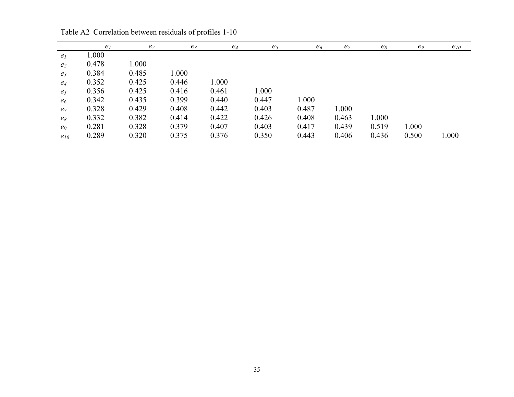|                | e <sub>1</sub> | e <sub>2</sub> | $e_3$ | $e_4$ | $e_5$ | e <sub>6</sub> | $e_7$ | $e_8$ | e <sub>9</sub> | $e_{10}$ |
|----------------|----------------|----------------|-------|-------|-------|----------------|-------|-------|----------------|----------|
| e <sub>l</sub> | 1.000          |                |       |       |       |                |       |       |                |          |
| e <sub>2</sub> | 0.478          | 000.1          |       |       |       |                |       |       |                |          |
| $e_3$          | 0.384          | 0.485          | 1.000 |       |       |                |       |       |                |          |
| $e_4$          | 0.352          | 0.425          | 0.446 | 1.000 |       |                |       |       |                |          |
| e <sub>5</sub> | 0.356          | 0.425          | 0.416 | 0.461 | 1.000 |                |       |       |                |          |
| e <sub>6</sub> | 0.342          | 0.435          | 0.399 | 0.440 | 0.447 | 1.000          |       |       |                |          |
| e <sub>7</sub> | 0.328          | 0.429          | 0.408 | 0.442 | 0.403 | 0.487          | 1.000 |       |                |          |
| $e_8$          | 0.332          | 0.382          | 0.414 | 0.422 | 0.426 | 0.408          | 0.463 | 1.000 |                |          |
| e <sub>9</sub> | 0.281          | 0.328          | 0.379 | 0.407 | 0.403 | 0.417          | 0.439 | 0.519 | 1.000          |          |
| $e_{10}$       | 0.289          | 0.320          | 0.375 | 0.376 | 0.350 | 0.443          | 0.406 | 0.436 | 0.500          | 1.000    |

Table A2 Correlation between residuals of profiles 1-10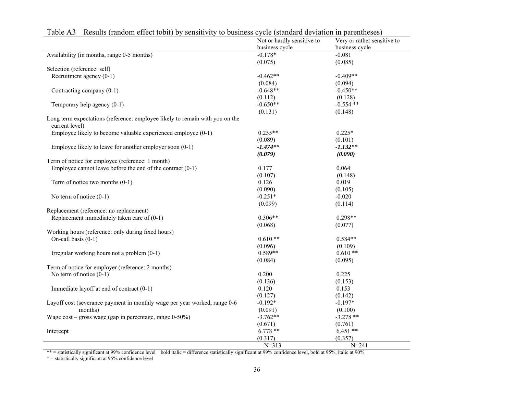|                                                                                                | Not or hardly sensitive to | Very or rather sensitive to |
|------------------------------------------------------------------------------------------------|----------------------------|-----------------------------|
|                                                                                                | business cycle             | business cycle              |
| Availability (in months, range 0-5 months)                                                     | $-0.178*$                  | $-0.081$                    |
|                                                                                                | (0.075)                    | (0.085)                     |
| Selection (reference: self)                                                                    |                            |                             |
| Recruitment agency (0-1)                                                                       | $-0.462**$                 | $-0.409**$                  |
|                                                                                                | (0.084)                    | (0.094)                     |
| Contracting company (0-1)                                                                      | $-0.648**$                 | $-0.450**$                  |
|                                                                                                | (0.112)                    | (0.128)                     |
| Temporary help agency (0-1)                                                                    | $-0.650**$                 | $-0.554$ **                 |
|                                                                                                | (0.131)                    | (0.148)                     |
| Long term expectations (reference: employee likely to remain with you on the<br>current level) |                            |                             |
| Employee likely to become valuable experienced employee (0-1)                                  | $0.255**$                  | $0.225*$                    |
|                                                                                                | (0.089)                    | (0.101)                     |
| Employee likely to leave for another employer soon $(0-1)$                                     | $-1.474**$                 | $-1.132**$                  |
|                                                                                                | (0.079)                    | (0.090)                     |
| Term of notice for employee (reference: 1 month)                                               |                            |                             |
| Employee cannot leave before the end of the contract $(0-1)$                                   | 0.177                      | 0.064                       |
|                                                                                                | (0.107)                    | (0.148)                     |
| Term of notice two months $(0-1)$                                                              | 0.126                      | 0.019                       |
|                                                                                                | (0.090)                    | (0.105)                     |
| No term of notice $(0-1)$                                                                      | $-0.251*$                  | $-0.020$                    |
|                                                                                                | (0.099)                    | (0.114)                     |
| Replacement (reference: no replacement)                                                        |                            |                             |
| Replacement immediately taken care of $(0-1)$                                                  | $0.306**$                  | $0.298**$                   |
|                                                                                                | (0.068)                    | (0.077)                     |
| Working hours (reference: only during fixed hours)                                             |                            |                             |
| On-call basis $(0-1)$                                                                          | $0.610**$                  | $0.584**$                   |
|                                                                                                | (0.096)                    | (0.109)                     |
| Irregular working hours not a problem $(0-1)$                                                  | $0.589**$                  | $0.610**$                   |
|                                                                                                | (0.084)                    | (0.095)                     |
| Term of notice for employer (reference: 2 months)                                              |                            |                             |
| No term of notice $(0-1)$                                                                      | 0.200                      | 0.225                       |
|                                                                                                | (0.136)                    | (0.153)                     |
| Immediate layoff at end of contract (0-1)                                                      | 0.120                      | 0.153                       |
|                                                                                                | (0.127)                    | (0.142)                     |
|                                                                                                | $-0.192*$                  | $-0.197*$                   |
| Layoff cost (severance payment in monthly wage per year worked, range 0-6                      |                            |                             |
| months)                                                                                        | (0.091)                    | (0.100)                     |
| Wage $cost - gross$ wage (gap in percentage, range $0-50\%$ )                                  | $-3.762**$                 | $-3.278$ **                 |
|                                                                                                | (0.671)                    | (0.761)                     |
| Intercept                                                                                      | $6.778**$                  | $6.451**$                   |
|                                                                                                | (0.317)                    | (0.357)                     |
|                                                                                                | $N = 313$                  | $N = 241$                   |

Table A3 Results (random effect tobit) by sensitivity to business cycle (standard deviation in parentheses)

 $*$  = statistically significant at 99% confidence level bold italic = difference statistically significant at 99% confidence level, bold at 95%, italic at 90%

\* = statistically significant at 95% confidence level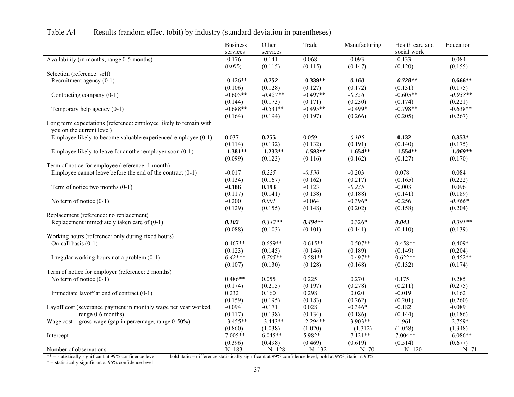|                                                                                                | <b>Business</b> | Other      | Trade      | Manufacturing | Health care and | Education  |
|------------------------------------------------------------------------------------------------|-----------------|------------|------------|---------------|-----------------|------------|
|                                                                                                | services        | services   |            |               | social work     |            |
| Availability (in months, range 0-5 months)                                                     | $-0.176$        | $-0.141$   | 0.068      | $-0.093$      | $-0.133$        | $-0.084$   |
|                                                                                                | (0.095)         | (0.115)    | (0.115)    | (0.147)       | (0.120)         | (0.155)    |
| Selection (reference: self)                                                                    |                 |            |            |               |                 |            |
| Recruitment agency (0-1)                                                                       | $-0.426**$      | $-0.252$   | $-0.339**$ | $-0.160$      | $-0.728**$      | $-0.666**$ |
|                                                                                                | (0.106)         | (0.128)    | (0.127)    | (0.172)       | (0.131)         | (0.175)    |
| Contracting company (0-1)                                                                      | $-0.605**$      | $-0.427**$ | $-0.497**$ | $-0.356$      | $-0.605**$      | $-0.938**$ |
|                                                                                                | (0.144)         | (0.173)    | (0.171)    | (0.230)       | (0.174)         | (0.221)    |
| Temporary help agency (0-1)                                                                    | $-0.688**$      | $-0.531**$ | $-0.495**$ | $-0.499*$     | $-0.798**$      | $-0.638**$ |
|                                                                                                | (0.164)         | (0.194)    | (0.197)    | (0.266)       | (0.205)         | (0.267)    |
| Long term expectations (reference: employee likely to remain with<br>you on the current level) |                 |            |            |               |                 |            |
| Employee likely to become valuable experienced employee $(0-1)$                                | 0.037           | 0.255      | 0.059      | $-0.105$      | $-0.132$        | $0.353*$   |
|                                                                                                | (0.114)         | (0.132)    | (0.132)    | (0.191)       | (0.140)         | (0.175)    |
| Employee likely to leave for another employer soon (0-1)                                       | $-1.381**$      | $-1.233**$ | $-1.593**$ | $-1.654**$    | $-1.554**$      | $-1.069**$ |
|                                                                                                | (0.099)         | (0.123)    | (0.116)    | (0.162)       | (0.127)         | (0.170)    |
| Term of notice for employee (reference: 1 month)                                               |                 |            |            |               |                 |            |
| Employee cannot leave before the end of the contract $(0-1)$                                   | $-0.017$        | 0.225      | $-0.190$   | $-0.203$      | 0.078           | 0.084      |
|                                                                                                | (0.134)         | (0.167)    | (0.162)    | (0.217)       | (0.165)         | (0.222)    |
| Term of notice two months $(0-1)$                                                              | $-0.186$        | 0.193      | $-0.123$   | $-0.235$      | $-0.003$        | 0.096      |
|                                                                                                | (0.117)         | (0.141)    | (0.138)    | (0.188)       | (0.141)         | (0.189)    |
| No term of notice $(0-1)$                                                                      | $-0.200$        | 0.001      | $-0.064$   | $-0.396*$     | $-0.256$        | $-0.466*$  |
|                                                                                                | (0.129)         | (0.155)    | (0.148)    | (0.202)       | (0.158)         | (0.204)    |
| Replacement (reference: no replacement)                                                        |                 |            |            |               |                 |            |
| Replacement immediately taken care of $(0-1)$                                                  | 0.102           | $0.342**$  | $0.494**$  | $0.326*$      | 0.043           | $0.391**$  |
|                                                                                                | (0.088)         | (0.103)    | (0.101)    | (0.141)       | (0.110)         | (0.139)    |
| Working hours (reference: only during fixed hours)                                             |                 |            |            |               |                 |            |
| On-call basis $(0-1)$                                                                          | $0.467**$       | $0.659**$  | $0.615**$  | $0.507**$     | $0.458**$       | $0.409*$   |
|                                                                                                | (0.123)         | (0.145)    | (0.146)    | (0.189)       | (0.149)         | (0.204)    |
| Irregular working hours not a problem (0-1)                                                    | $0.421**$       | $0.705**$  | $0.581**$  | $0.497**$     | $0.622**$       | $0.452**$  |
|                                                                                                | (0.107)         | (0.130)    | (0.128)    | (0.168)       | (0.132)         | (0.174)    |
| Term of notice for employer (reference: 2 months)                                              |                 |            |            |               |                 |            |
| No term of notice $(0-1)$                                                                      | $0.486**$       | 0.055      | 0.225      | 0.270         | 0.175           | 0.285      |
|                                                                                                | (0.174)         | (0.215)    | (0.197)    | (0.278)       | (0.211)         | (0.275)    |
| Immediate layoff at end of contract (0-1)                                                      | 0.232           | 0.160      | 0.298      | 0.020         | $-0.019$        | 0.162      |
|                                                                                                | (0.159)         | (0.195)    | (0.183)    | (0.262)       | (0.201)         | (0.260)    |
| Layoff cost (severance payment in monthly wage per year worked,                                | $-0.094$        | $-0.171$   | 0.028      | $-0.346*$     | $-0.182$        | $-0.089$   |
| range 0-6 months)                                                                              | (0.117)         | (0.138)    | (0.134)    | (0.186)       | (0.144)         | (0.186)    |
| Wage $cost - gross$ wage (gap in percentage, range $0-50\%$ )                                  | $-3.455**$      | $-3.443**$ | $-2.294**$ | $-3.903**$    | $-1.961$        | $-2.759*$  |
|                                                                                                | (0.860)         | (1.038)    | (1.020)    | (1.312)       | (1.058)         | (1.348)    |
| Intercept                                                                                      | $7.005**$       | $6.045**$  | 5.982*     | $7.121**$     | 7.004**         | $6.086**$  |
|                                                                                                | (0.396)         | (0.498)    | (0.469)    | (0.619)       | (0.514)         | (0.677)    |
| Number of observations                                                                         | $N=183$         | $N = 128$  | $N=132$    | $N = 70$      | $N = 120$       | $N = 71$   |

# Table A4 Results (random effect tobit) by industry (standard deviation in parentheses)

bold italic = difference statistically significant at 99% confidence level, bold at 95%, italic at 90%

\*\* = statistically significant at 99% confidence level<br>\* = statistically significant at 95% confidence level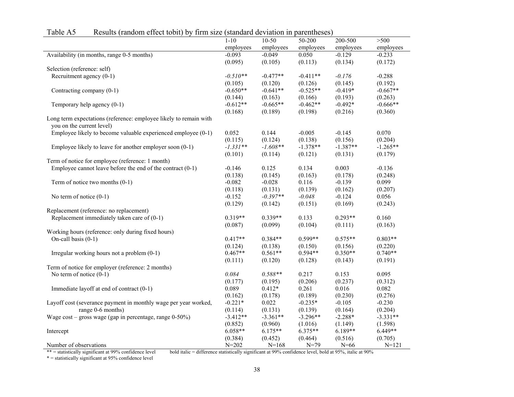|                                                                                                | employees  | employees  | employees            | employees            | employees            |
|------------------------------------------------------------------------------------------------|------------|------------|----------------------|----------------------|----------------------|
| Availability (in months, range 0-5 months)                                                     | $-0.093$   | $-0.049$   | 0.050                | $-0.129$             | $-0.233$             |
|                                                                                                | (0.095)    | (0.105)    | (0.113)              | (0.134)              | (0.172)              |
| Selection (reference: self)                                                                    |            |            |                      |                      |                      |
| Recruitment agency $(0-1)$                                                                     | $-0.510**$ | $-0.477**$ | $-0.411**$           | $-0.176$             | $-0.288$             |
|                                                                                                | (0.105)    | (0.120)    | (0.126)              | (0.145)              | (0.192)              |
| Contracting company (0-1)                                                                      | $-0.650**$ | $-0.641**$ | $-0.525**$           | $-0.419*$            | $-0.667**$           |
|                                                                                                | (0.144)    | (0.163)    | (0.166)              | (0.193)              | (0.263)              |
| Temporary help agency $(0-1)$                                                                  | $-0.612**$ | $-0.665**$ | $-0.462**$           | $-0.492*$            | $-0.666**$           |
|                                                                                                | (0.168)    | (0.189)    | (0.198)              | (0.216)              | (0.360)              |
| Long term expectations (reference: employee likely to remain with<br>you on the current level) |            |            |                      |                      |                      |
| Employee likely to become valuable experienced employee (0-1)                                  | 0.052      | 0.144      | $-0.005$             | $-0.145$             | 0.070                |
|                                                                                                | (0.115)    | (0.124)    | (0.138)              | (0.156)              | (0.204)              |
| Employee likely to leave for another employer soon $(0-1)$                                     | $-1.331**$ | $-1.608**$ | $-1.378**$           | $-1.387**$           | $-1.265**$           |
|                                                                                                | (0.101)    | (0.114)    | (0.121)              | (0.131)              | (0.179)              |
| Term of notice for employee (reference: 1 month)                                               |            |            |                      |                      |                      |
| Employee cannot leave before the end of the contract $(0-1)$                                   | $-0.146$   | 0.125      | 0.134                | 0.003                | $-0.136$             |
|                                                                                                | (0.138)    | (0.145)    | (0.163)              | (0.178)              | (0.248)              |
| Term of notice two months $(0-1)$                                                              | $-0.082$   | $-0.028$   | 0.116                | $-0.139$             | 0.099                |
|                                                                                                | (0.118)    | (0.131)    | (0.139)              | (0.162)              | (0.207)              |
| No term of notice $(0-1)$                                                                      | $-0.152$   | $-0.397**$ | $-0.048$             | $-0.124$             | 0.056                |
|                                                                                                | (0.129)    | (0.142)    | (0.151)              | (0.169)              | (0.243)              |
| Replacement (reference: no replacement)                                                        |            |            |                      |                      |                      |
| Replacement immediately taken care of $(0-1)$                                                  | $0.319**$  | $0.339**$  | 0.133                | $0.293**$            | 0.160                |
|                                                                                                |            |            |                      |                      |                      |
|                                                                                                | (0.087)    | (0.099)    | (0.104)              | (0.111)              | (0.163)              |
| Working hours (reference: only during fixed hours)                                             | $0.417**$  | $0.384**$  | $0.599**$            | $0.575**$            | $0.803**$            |
| On-call basis $(0-1)$                                                                          |            |            |                      |                      |                      |
|                                                                                                | (0.124)    | (0.138)    | (0.150)<br>$0.594**$ | (0.156)<br>$0.350**$ | (0.220)<br>$0.740**$ |
| Irregular working hours not a problem $(0-1)$                                                  | $0.467**$  | $0.561**$  |                      |                      |                      |
|                                                                                                | (0.111)    | (0.120)    | (0.128)              | (0.143)              | (0.191)              |
| Term of notice for employer (reference: 2 months)                                              |            |            |                      |                      |                      |
| No term of notice $(0-1)$                                                                      | 0.084      | $0.588**$  | 0.217                | 0.153                | 0.095                |
|                                                                                                | (0.177)    | (0.195)    | (0.206)              | (0.237)              | (0.312)              |
| Immediate layoff at end of contract $(0-1)$                                                    | 0.089      | $0.412*$   | 0.261                | 0.016                | 0.082                |
|                                                                                                | (0.162)    | (0.178)    | (0.189)              | (0.230)              | (0.276)              |
| Layoff cost (severance payment in monthly wage per year worked,                                | $-0.221*$  | 0.022      | $-0.235*$            | $-0.105$             | $-0.230$             |

 $1-10$ 

10-50

50-200

200-500

>500

Table A5 Results (random effect tobit) by firm size (standard deviation in parentheses)

1-10

\*\* = statistically significant at 99% confidence level bold italic = difference statistically significant at 99% confidence level, bold at 95%, italic at 90%

 $* =$  statistically significant at 95% confidence level

Intercept

Number of observations

range 0-6 months)

Wage cost – gross wage (gap in percentage, range  $0-50\%$ ) -3.412<sup>\*\*</sup>

(0.131)

-3.361\*\* (0.960)

6.175\*\*  $(0.452)$ <br>N=168 (0.139)

-3.296\*\* (1.016)

6.375\*\*  $(0.464)$ <br>N=79 (0.164)

-2.288\* (1.149)

6.189\*\*  $(0.516)$ <br>N=66

(0.204)

-3.331\*\* (1.598)

6.449\*\*  $(0.705)$ 

 $N = 121$ 

(0.114)

 $(0.852)$ <br>6.058\*\*

 $(0.384)$ <br>N=202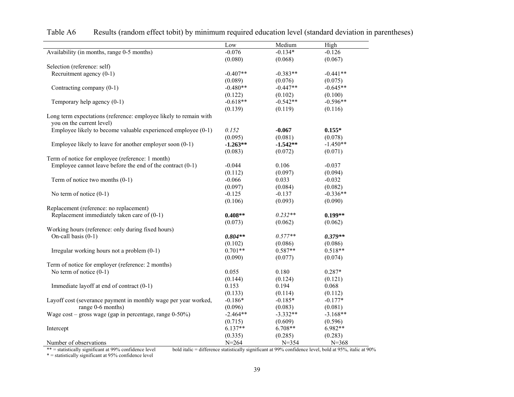|                                                                                                | Low        | Medium     | High       |
|------------------------------------------------------------------------------------------------|------------|------------|------------|
| Availability (in months, range 0-5 months)                                                     | $-0.076$   | $-0.134*$  | $-0.126$   |
|                                                                                                | (0.080)    | (0.068)    | (0.067)    |
| Selection (reference: self)                                                                    |            |            |            |
| Recruitment agency $(0-1)$                                                                     | $-0.407**$ | $-0.383**$ | $-0.441**$ |
|                                                                                                | (0.089)    | (0.076)    | (0.075)    |
| Contracting company (0-1)                                                                      | $-0.480**$ | $-0.447**$ | $-0.645**$ |
|                                                                                                | (0.122)    | (0.102)    | (0.100)    |
| Temporary help agency $(0-1)$                                                                  | $-0.618**$ | $-0.542**$ | $-0.596**$ |
|                                                                                                | (0.139)    | (0.119)    | (0.116)    |
| Long term expectations (reference: employee likely to remain with<br>you on the current level) |            |            |            |
| Employee likely to become valuable experienced employee (0-1)                                  | 0.152      | $-0.067$   | $0.155*$   |
|                                                                                                | (0.095)    | (0.081)    | (0.078)    |
| Employee likely to leave for another employer soon $(0-1)$                                     | $-1.263**$ | $-1.542**$ | $-1.450**$ |
|                                                                                                | (0.083)    | (0.072)    | (0.071)    |
| Term of notice for employee (reference: 1 month)                                               |            |            |            |
| Employee cannot leave before the end of the contract $(0-1)$                                   | $-0.044$   | 0.106      | $-0.037$   |
|                                                                                                | (0.112)    | (0.097)    | (0.094)    |
| Term of notice two months (0-1)                                                                | $-0.066$   | 0.033      | $-0.032$   |
|                                                                                                | (0.097)    | (0.084)    | (0.082)    |
| No term of notice $(0-1)$                                                                      | $-0.125$   | $-0.137$   | $-0.336**$ |
|                                                                                                | (0.106)    | (0.093)    | (0.090)    |
| Replacement (reference: no replacement)                                                        |            |            |            |
| Replacement immediately taken care of $(0-1)$                                                  | $0.408**$  | $0.232**$  | $0.199**$  |
|                                                                                                | (0.073)    | (0.062)    | (0.062)    |
| Working hours (reference: only during fixed hours)                                             |            |            |            |
| On-call basis $(0-1)$                                                                          | $0.804**$  | $0.577**$  | $0.379**$  |
|                                                                                                | (0.102)    | (0.086)    | (0.086)    |
| Irregular working hours not a problem $(0-1)$                                                  | $0.701**$  | $0.587**$  | $0.518**$  |
|                                                                                                | (0.090)    | (0.077)    | (0.074)    |
| Term of notice for employer (reference: 2 months)                                              |            |            |            |
| No term of notice $(0-1)$                                                                      | 0.055      | 0.180      | $0.287*$   |
|                                                                                                | (0.144)    | (0.124)    | (0.121)    |
| Immediate layoff at end of contract (0-1)                                                      | 0.153      | 0.194      | 0.068      |
|                                                                                                | (0.133)    | (0.114)    | (0.112)    |
| Layoff cost (severance payment in monthly wage per year worked,                                | $-0.186*$  | $-0.185*$  | $-0.177*$  |
| range 0-6 months)                                                                              | (0.096)    | (0.083)    | (0.081)    |
| Wage $cost - gross$ wage (gap in percentage, range $0-50\%$ )                                  | $-2.464**$ | $-3.332**$ | $-3.168**$ |
|                                                                                                | (0.715)    | (0.609)    | (0.596)    |
| Intercept                                                                                      | $6.137**$  | $6.708**$  | 6.982**    |
|                                                                                                | (0.335)    | (0.285)    | (0.283)    |
| Number of observations                                                                         | $N = 264$  | $N = 354$  | $N = 368$  |

Table A6 Results (random effect tobit) by minimum required education level (standard deviation in parentheses)

\*\* = statistically significant at 99% confidence level bold italic = difference statistically significant at 99% confidence level, bold at 95%, italic at 90%

 $* =$  statistically significant at 95% confidence level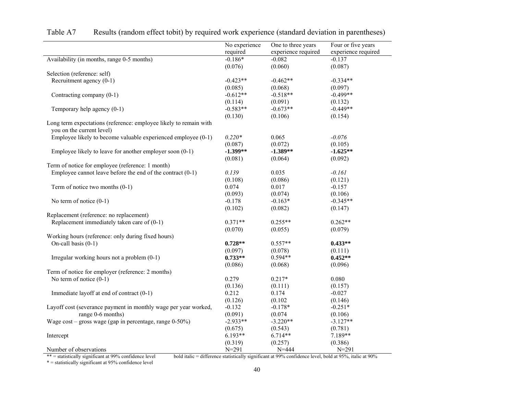|                                                                                                | No experience | One to three years  | Four or five years  |
|------------------------------------------------------------------------------------------------|---------------|---------------------|---------------------|
|                                                                                                | required      | experience required | experience required |
| Availability (in months, range 0-5 months)                                                     | $-0.186*$     | $-0.082$            | $-0.137$            |
|                                                                                                | (0.076)       | (0.060)             | (0.087)             |
| Selection (reference: self)                                                                    |               |                     |                     |
| Recruitment agency $(0-1)$                                                                     | $-0.423**$    | $-0.462**$          | $-0.334**$          |
|                                                                                                | (0.085)       | (0.068)             | (0.097)             |
| Contracting company (0-1)                                                                      | $-0.612**$    | $-0.518**$          | $-0.499**$          |
|                                                                                                | (0.114)       | (0.091)             | (0.132)             |
| Temporary help agency (0-1)                                                                    | $-0.583**$    | $-0.673**$          | $-0.449**$          |
|                                                                                                | (0.130)       | (0.106)             | (0.154)             |
| Long term expectations (reference: employee likely to remain with<br>you on the current level) |               |                     |                     |
| Employee likely to become valuable experienced employee (0-1)                                  | $0.220*$      | 0.065               | $-0.076$            |
|                                                                                                | (0.087)       | (0.072)             | (0.105)             |
| Employee likely to leave for another employer soon $(0-1)$                                     | $-1.399**$    | $-1.389**$          | $-1.625**$          |
|                                                                                                | (0.081)       | (0.064)             | (0.092)             |
| Term of notice for employee (reference: 1 month)                                               |               |                     |                     |
| Employee cannot leave before the end of the contract $(0-1)$                                   | 0.139         | 0.035               | $-0.161$            |
|                                                                                                | (0.108)       | (0.086)             | (0.121)             |
| Term of notice two months $(0-1)$                                                              | 0.074         | 0.017               | $-0.157$            |
|                                                                                                | (0.093)       | (0.074)             | (0.106)             |
| No term of notice $(0-1)$                                                                      | $-0.178$      | $-0.163*$           | $-0.345**$          |
|                                                                                                | (0.102)       | (0.082)             | (0.147)             |
| Replacement (reference: no replacement)                                                        |               |                     |                     |
| Replacement immediately taken care of $(0-1)$                                                  | $0.371**$     | $0.255**$           | $0.262**$           |
|                                                                                                | (0.070)       | (0.055)             | (0.079)             |
| Working hours (reference: only during fixed hours)                                             |               |                     |                     |
| On-call basis (0-1)                                                                            | $0.728**$     | $0.557**$           | $0.433**$           |
|                                                                                                | (0.097)       | (0.078)             | (0.111)             |
| Irregular working hours not a problem (0-1)                                                    | $0.733**$     | $0.594**$           | $0.452**$           |
|                                                                                                | (0.086)       | (0.068)             | (0.096)             |
| Term of notice for employer (reference: 2 months)                                              |               |                     |                     |
| No term of notice $(0-1)$                                                                      | 0.279         | $0.217*$            | 0.080               |
|                                                                                                | (0.136)       | (0.111)             | (0.157)             |
| Immediate layoff at end of contract (0-1)                                                      | 0.212         | 0.174               | $-0.027$            |
|                                                                                                | (0.126)       | (0.102)             | (0.146)             |
| Layoff cost (severance payment in monthly wage per year worked,                                | $-0.132$      | $-0.178*$           | $-0.251*$           |
| range 0-6 months)                                                                              | (0.091)       | (0.074)             | (0.106)             |
| Wage $cost - gross$ wage (gap in percentage, range $0-50\%$ )                                  | $-2.933**$    | $-3.220**$          | $-3.127**$          |
|                                                                                                | (0.675)       | (0.543)             | (0.781)             |
| Intercept                                                                                      | $6.193**$     | $6.714**$           | 7.189**             |
|                                                                                                | (0.319)       | (0.257)             | (0.386)             |
| Number of observations                                                                         | $N = 291$     | $N = 444$           | $N = 291$           |

| Table A7 | Results (random effect to bit) by required work experience (standard deviation in parentheses) |  |  |  |
|----------|------------------------------------------------------------------------------------------------|--|--|--|
|          |                                                                                                |  |  |  |

\*\* = statistically significant at 99% confidence level bold italic = difference statistically significant at 99% confidence level, bold at 95%, italic at 90%

\*\* = statistically significant at 99% confidence level<br> $*$  = statistically significant at 95% confidence level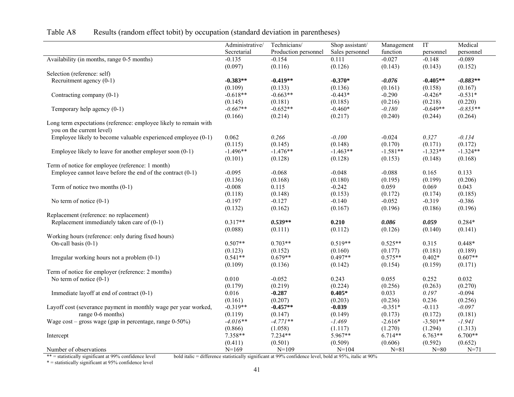|                                                                   | Administrative/ | Technicians/         | Shop assistant/ | Management | IT         | Medical    |
|-------------------------------------------------------------------|-----------------|----------------------|-----------------|------------|------------|------------|
|                                                                   | Secretarial     | Production personnel | Sales personnel | function   | personnel  | personnel  |
| Availability (in months, range 0-5 months)                        | $-0.135$        | $-0.154$             | 0.111           | $-0.027$   | $-0.148$   | $-0.089$   |
|                                                                   | (0.097)         | (0.116)              | (0.126)         | (0.143)    | (0.143)    | (0.152)    |
| Selection (reference: self)                                       |                 |                      |                 |            |            |            |
| Recruitment agency (0-1)                                          | $-0.383**$      | $-0.419**$           | $-0.370*$       | $-0.076$   | $-0.405**$ | $-0.883**$ |
|                                                                   | (0.109)         | (0.133)              | (0.136)         | (0.161)    | (0.158)    | (0.167)    |
| Contracting company (0-1)                                         | $-0.618**$      | $-0.663**$           | $-0.443*$       | $-0.290$   | $-0.426*$  | $-0.531*$  |
|                                                                   | (0.145)         | (0.181)              | (0.185)         | (0.216)    | (0.218)    | (0.220)    |
| Temporary help agency $(0-1)$                                     | $-0.667**$      | $-0.652**$           | $-0.460*$       | $-0.180$   | $-0.649**$ | $-0.855**$ |
|                                                                   | (0.166)         | (0.214)              | (0.217)         | (0.240)    | (0.244)    | (0.264)    |
| Long term expectations (reference: employee likely to remain with |                 |                      |                 |            |            |            |
| you on the current level)                                         |                 |                      |                 |            |            |            |
| Employee likely to become valuable experienced employee (0-1)     | 0.062           | 0.266                | $-0.100$        | $-0.024$   | 0.327      | $-0.134$   |
|                                                                   | (0.115)         | (0.145)              | (0.148)         | (0.170)    | (0.171)    | (0.172)    |
| Employee likely to leave for another employer soon $(0-1)$        | $-1.496**$      | $-1.476**$           | $-1.463**$      | $-1.581**$ | $-1.323**$ | $-1.324**$ |
|                                                                   | (0.101)         | (0.128)              | (0.128)         | (0.153)    | (0.148)    | (0.168)    |
| Term of notice for employee (reference: 1 month)                  |                 |                      |                 |            |            |            |
| Employee cannot leave before the end of the contract $(0-1)$      | $-0.095$        | $-0.068$             | $-0.048$        | $-0.088$   | 0.165      | 0.133      |
|                                                                   | (0.136)         | (0.168)              | (0.180)         | (0.195)    | (0.199)    | (0.206)    |
| Term of notice two months $(0-1)$                                 | $-0.008$        | 0.115                | $-0.242$        | 0.059      | 0.069      | 0.043      |
|                                                                   | (0.118)         | (0.148)              | (0.153)         | (0.172)    | (0.174)    | (0.185)    |
| No term of notice $(0-1)$                                         | $-0.197$        | $-0.127$             | $-0.140$        | $-0.052$   | $-0.319$   | $-0.386$   |
|                                                                   | (0.132)         | (0.162)              | (0.167)         | (0.196)    | (0.186)    | (0.196)    |
| Replacement (reference: no replacement)                           |                 |                      |                 |            |            |            |
| Replacement immediately taken care of $(0-1)$                     | $0.317**$       | $0.539**$            | 0.210           | 0.086      | 0.059      | $0.284*$   |
|                                                                   | (0.088)         | (0.111)              | (0.112)         | (0.126)    | (0.140)    | (0.141)    |
| Working hours (reference: only during fixed hours)                |                 |                      |                 |            |            |            |
| On-call basis $(0-1)$                                             | $0.507**$       | $0.703**$            | $0.519**$       | $0.525**$  | 0.315      | $0.448*$   |
|                                                                   | (0.123)         | (0.152)              | (0.160)         | (0.177)    | (0.181)    | (0.189)    |
| Irregular working hours not a problem (0-1)                       | $0.541**$       | $0.679**$            | $0.497**$       | $0.575**$  | $0.402*$   | $0.607**$  |
|                                                                   | (0.109)         | (0.136)              | (0.142)         | (0.154)    | (0.159)    | (0.171)    |
| Term of notice for employer (reference: 2 months)                 |                 |                      |                 |            |            |            |
| No term of notice $(0-1)$                                         | 0.010           | $-0.052$             | 0.243           | 0.055      | 0.252      | 0.032      |
|                                                                   | (0.179)         | (0.219)              | (0.224)         | (0.256)    | (0.263)    | (0.270)    |
| Immediate layoff at end of contract (0-1)                         | 0.016           | $-0.287$             | $0.405*$        | 0.033      | 0.197      | $-0.094$   |
|                                                                   | (0.161)         | (0.207)              | (0.203)         | (0.236)    | 0.236      | (0.256)    |
| Layoff cost (severance payment in monthly wage per year worked,   | $-0.319**$      | $-0.457**$           | $-0.039$        | $-0.351*$  | $-0.113$   | $-0.097$   |
| range 0-6 months)                                                 | (0.119)         | (0.147)              | (0.149)         | (0.173)    | (0.172)    | (0.181)    |
| Wage $cost - gross$ wage (gap in percentage, range $0-50\%$ )     | $-4.016**$      | $-4.771**$           | $-1.469$        | $-2.616*$  | $-3.501**$ | $-1.941$   |
|                                                                   | (0.866)         | (1.058)              | (1.117)         | (1.270)    | (1.294)    | (1.313)    |
| Intercept                                                         | 7.358**         | $7.234**$            | 5.967**         | $6.714**$  | $6.763**$  | $6.700**$  |
|                                                                   | (0.411)         | (0.501)              | (0.509)         | (0.606)    | (0.592)    | (0.652)    |
| Number of observations                                            | $N=169$         | $N=109$              | $N = 104$       | $N = 81$   | $N = 80$   | $N = 71$   |

# Table A8 Results (random effect tobit) by occupation (standard deviation in parentheses)

\*\* = statistically significant at 99% confidence level<br>\* = statistically significant at 95% confidence level

bold italic = difference statistically significant at 99% confidence level, bold at 95%, italic at 90%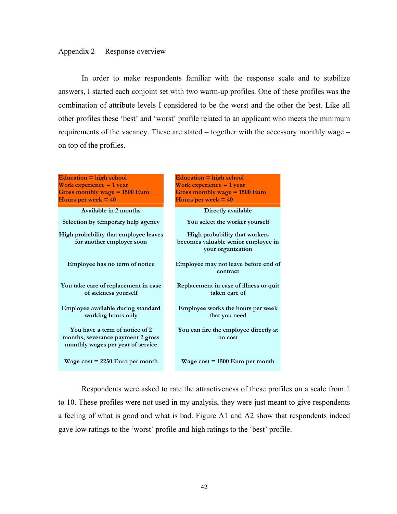#### Appendix 2 Response overview

In order to make respondents familiar with the response scale and to stabilize answers, I started each conjoint set with two warm-up profiles. One of these profiles was the combination of attribute levels I considered to be the worst and the other the best. Like all other profiles these 'best' and 'worst' profile related to an applicant who meets the minimum requirements of the vacancy. These are stated – together with the accessory monthly wage – on top of the profiles.

**Education = high school Work experience = 1 year Gross monthly wage = 1500 Euro Hours per week = 40** 

Available in 2 months **Directly available** Selection by temporary help agency **You select the worker yourself High probability that employee leaves for another employer soon** 

**Employee has no term of notice** 

**You take care of replacement in case of sickness yourself** 

**Employee available during standard working hours only** 

**You have a term of notice of 2 months, severance payment 2 gross monthly wages per year of service** 

**Education = high school Work experience = 1 year Gross monthly wage = 1500 Euro Hours per week = 40** 

**High probability that workers becomes valuable senior employee in your organization Employee may not leave before end of contract Replacement in case of illness or quit taken care of Employee works the hours per week** 

 **You can fire the employee directly at no cost** 

**that you need** 

**Wage cost = 2250 Euro per month Wage cost = 1500 Euro per month** 

Respondents were asked to rate the attractiveness of these profiles on a scale from 1 to 10. These profiles were not used in my analysis, they were just meant to give respondents a feeling of what is good and what is bad. Figure A1 and A2 show that respondents indeed gave low ratings to the 'worst' profile and high ratings to the 'best' profile.